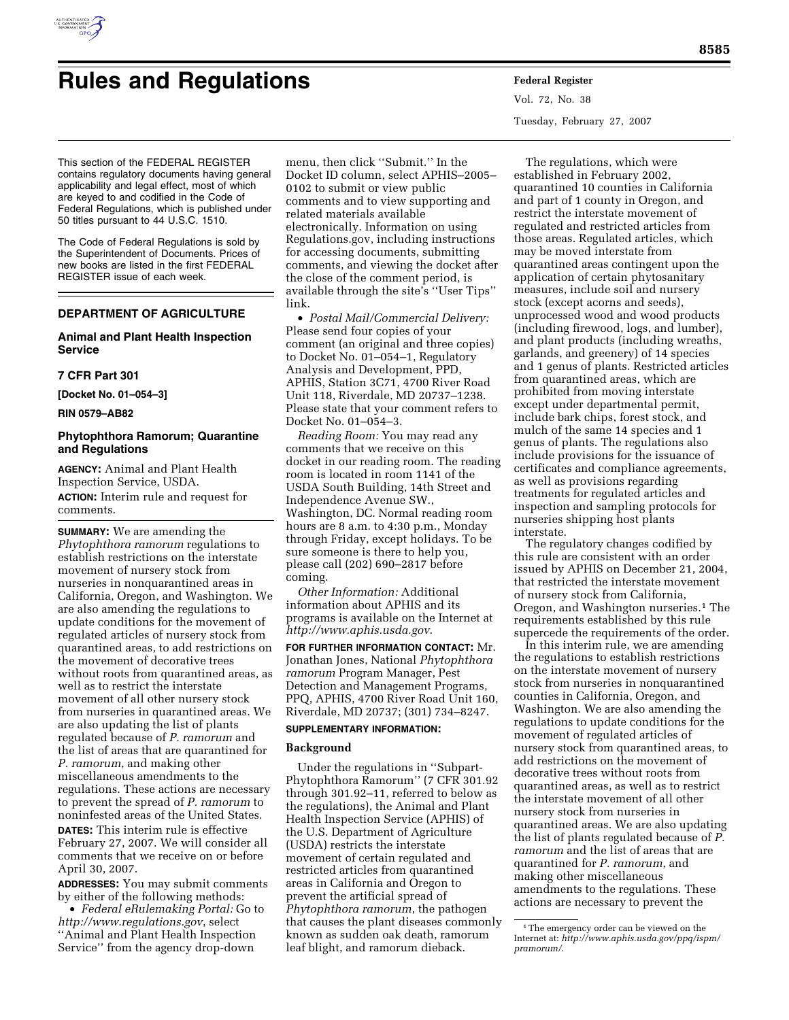

# **Rules and Regulations Federal Register**

Vol. 72, No. 38 Tuesday, February 27, 2007

This section of the FEDERAL REGISTER contains regulatory documents having general applicability and legal effect, most of which are keyed to and codified in the Code of Federal Regulations, which is published under 50 titles pursuant to 44 U.S.C. 1510.

The Code of Federal Regulations is sold by the Superintendent of Documents. Prices of new books are listed in the first FEDERAL REGISTER issue of each week.

# **DEPARTMENT OF AGRICULTURE**

# **Animal and Plant Health Inspection Service**

## **7 CFR Part 301**

**[Docket No. 01–054–3]** 

**RIN 0579–AB82** 

## **Phytophthora Ramorum; Quarantine and Regulations**

**AGENCY:** Animal and Plant Health Inspection Service, USDA.

**ACTION:** Interim rule and request for comments.

**SUMMARY:** We are amending the *Phytophthora ramorum* regulations to establish restrictions on the interstate movement of nursery stock from nurseries in nonquarantined areas in California, Oregon, and Washington. We are also amending the regulations to update conditions for the movement of regulated articles of nursery stock from quarantined areas, to add restrictions on the movement of decorative trees without roots from quarantined areas, as well as to restrict the interstate movement of all other nursery stock from nurseries in quarantined areas. We are also updating the list of plants regulated because of *P. ramorum* and the list of areas that are quarantined for *P. ramorum*, and making other miscellaneous amendments to the regulations. These actions are necessary to prevent the spread of *P. ramorum* to noninfested areas of the United States. **DATES:** This interim rule is effective February 27, 2007. We will consider all comments that we receive on or before April 30, 2007.

**ADDRESSES:** You may submit comments by either of the following methods:

• *Federal eRulemaking Portal:* Go to *http://www.regulations.gov*, select ''Animal and Plant Health Inspection Service'' from the agency drop-down

menu, then click ''Submit.'' In the Docket ID column, select APHIS–2005– 0102 to submit or view public comments and to view supporting and related materials available electronically. Information on using Regulations.gov, including instructions for accessing documents, submitting comments, and viewing the docket after the close of the comment period, is available through the site's ''User Tips'' link.

• *Postal Mail/Commercial Delivery:*  Please send four copies of your comment (an original and three copies) to Docket No. 01–054–1, Regulatory Analysis and Development, PPD, APHIS, Station 3C71, 4700 River Road Unit 118, Riverdale, MD 20737–1238. Please state that your comment refers to Docket No. 01–054–3.

*Reading Room:* You may read any comments that we receive on this docket in our reading room. The reading room is located in room 1141 of the USDA South Building, 14th Street and Independence Avenue SW., Washington, DC. Normal reading room hours are 8 a.m. to 4:30 p.m., Monday through Friday, except holidays. To be sure someone is there to help you, please call (202) 690–2817 before coming.

*Other Information:* Additional information about APHIS and its programs is available on the Internet at *http://www.aphis.usda.gov*.

**FOR FURTHER INFORMATION CONTACT:** Mr. Jonathan Jones, National *Phytophthora ramorum* Program Manager, Pest Detection and Management Programs, PPQ, APHIS, 4700 River Road Unit 160, Riverdale, MD 20737; (301) 734–8247.

#### **SUPPLEMENTARY INFORMATION:**

## **Background**

Under the regulations in ''Subpart-Phytophthora Ramorum'' (7 CFR 301.92 through 301.92–11, referred to below as the regulations), the Animal and Plant Health Inspection Service (APHIS) of the U.S. Department of Agriculture (USDA) restricts the interstate movement of certain regulated and restricted articles from quarantined areas in California and Oregon to prevent the artificial spread of *Phytophthora ramorum*, the pathogen that causes the plant diseases commonly known as sudden oak death, ramorum leaf blight, and ramorum dieback.

The regulations, which were established in February 2002, quarantined 10 counties in California and part of 1 county in Oregon, and restrict the interstate movement of regulated and restricted articles from those areas. Regulated articles, which may be moved interstate from quarantined areas contingent upon the application of certain phytosanitary measures, include soil and nursery stock (except acorns and seeds), unprocessed wood and wood products (including firewood, logs, and lumber), and plant products (including wreaths, garlands, and greenery) of 14 species and 1 genus of plants. Restricted articles from quarantined areas, which are prohibited from moving interstate except under departmental permit, include bark chips, forest stock, and mulch of the same 14 species and 1 genus of plants. The regulations also include provisions for the issuance of certificates and compliance agreements, as well as provisions regarding treatments for regulated articles and inspection and sampling protocols for nurseries shipping host plants interstate.

The regulatory changes codified by this rule are consistent with an order issued by APHIS on December 21, 2004, that restricted the interstate movement of nursery stock from California, Oregon, and Washington nurseries.<sup>1</sup> The requirements established by this rule supercede the requirements of the order.

In this interim rule, we are amending the regulations to establish restrictions on the interstate movement of nursery stock from nurseries in nonquarantined counties in California, Oregon, and Washington. We are also amending the regulations to update conditions for the movement of regulated articles of nursery stock from quarantined areas, to add restrictions on the movement of decorative trees without roots from quarantined areas, as well as to restrict the interstate movement of all other nursery stock from nurseries in quarantined areas. We are also updating the list of plants regulated because of *P. ramorum* and the list of areas that are quarantined for *P. ramorum*, and making other miscellaneous amendments to the regulations. These actions are necessary to prevent the

<sup>&</sup>lt;sup>1</sup>The emergency order can be viewed on the Internet at: *http://www.aphis.usda.gov/ppq/ispm/ pramorum/*.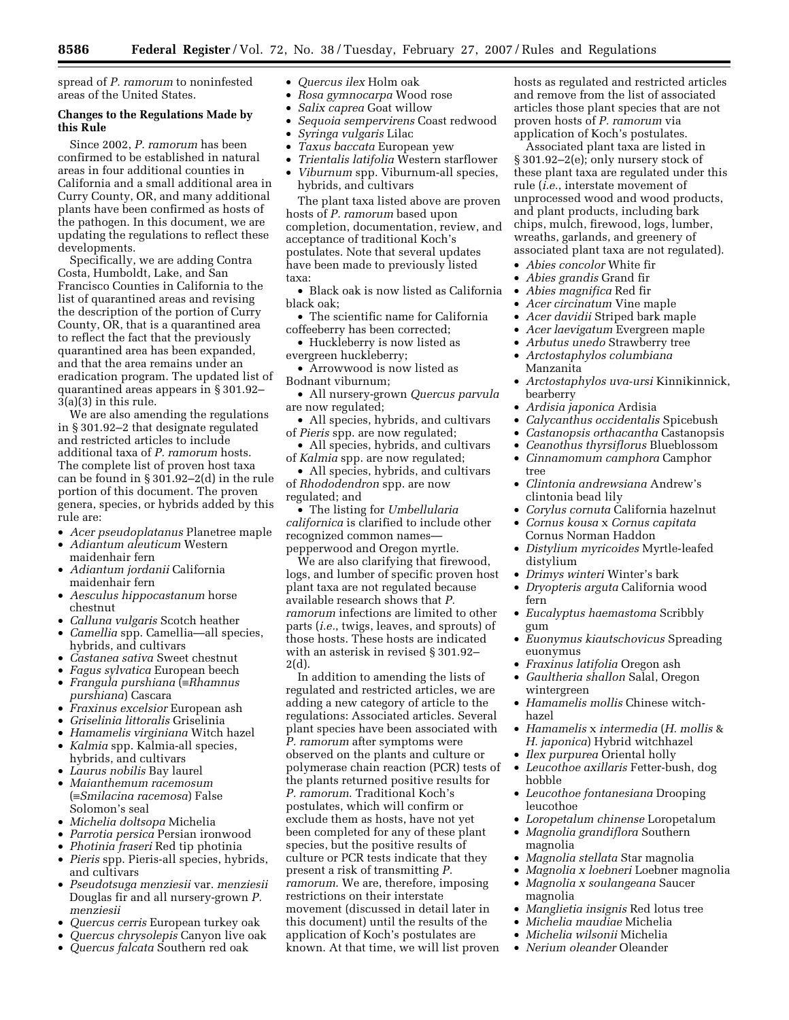spread of *P. ramorum* to noninfested areas of the United States.

## **Changes to the Regulations Made by this Rule**

Since 2002, *P. ramorum* has been confirmed to be established in natural areas in four additional counties in California and a small additional area in Curry County, OR, and many additional plants have been confirmed as hosts of the pathogen. In this document, we are updating the regulations to reflect these developments.

Specifically, we are adding Contra Costa, Humboldt, Lake, and San Francisco Counties in California to the list of quarantined areas and revising the description of the portion of Curry County, OR, that is a quarantined area to reflect the fact that the previously quarantined area has been expanded, and that the area remains under an eradication program. The updated list of quarantined areas appears in § 301.92– 3(a)(3) in this rule.

We are also amending the regulations in § 301.92–2 that designate regulated and restricted articles to include additional taxa of *P. ramorum* hosts. The complete list of proven host taxa can be found in § 301.92–2(d) in the rule portion of this document. The proven genera, species, or hybrids added by this rule are:

- *Acer pseudoplatanus* Planetree maple
- *Adiantum aleuticum* Western maidenhair fern
- *Adiantum jordanii* California maidenhair fern
- *Aesculus hippocastanum* horse chestnut
- *Calluna vulgaris* Scotch heather
- *Camellia* spp. Camellia—all species, hybrids, and cultivars
- *Castanea sativa* Sweet chestnut
- *Fagus sylvatica* European beech
- *Frangula purshiana* (≡*Rhamnus purshiana*) Cascara
- *Fraxinus excelsior* European ash
- *Griselinia littoralis* Griselinia
- *Hamamelis virginiana* Witch hazel • *Kalmia* spp. Kalmia-all species,
- hybrids, and cultivars • *Laurus nobilis* Bay laurel
- *Maianthemum racemosum*  (≡*Smilacina racemosa*) False Solomon's seal
- *Michelia doltsopa* Michelia
- 
- *Parrotia persica* Persian ironwood
- *Photinia fraseri* Red tip photinia • *Pieris* spp. Pieris-all species, hybrids,
- and cultivars • *Pseudotsuga menziesii* var. *menziesii*
- Douglas fir and all nursery-grown *P. menziesii*
- *Quercus cerris* European turkey oak
- *Quercus chrysolepis* Canyon live oak
- *Quercus falcata* Southern red oak
- *Quercus ilex* Holm oak
	- *Rosa gymnocarpa* Wood rose
	- *Salix caprea* Goat willow
	- *Sequoia sempervirens* Coast redwood
	- *Syringa vulgaris* Lilac
	- *Taxus baccata* European yew
	- *Trientalis latifolia* Western starflower
	- *Viburnum* spp. Viburnum-all species, hybrids, and cultivars

The plant taxa listed above are proven hosts of *P. ramorum* based upon completion, documentation, review, and acceptance of traditional Koch's postulates. Note that several updates have been made to previously listed taxa:

• Black oak is now listed as California black oak;

• The scientific name for California coffeeberry has been corrected;

• Huckleberry is now listed as evergreen huckleberry;

• Arrowwood is now listed as Bodnant viburnum;

• All nursery-grown *Quercus parvula*  are now regulated;

• All species, hybrids, and cultivars of *Pieris* spp. are now regulated;

• All species, hybrids, and cultivars of *Kalmia* spp. are now regulated;

• All species, hybrids, and cultivars of *Rhododendron* spp. are now regulated; and

• The listing for *Umbellularia californica* is clarified to include other recognized common names pepperwood and Oregon myrtle.

We are also clarifying that firewood, logs, and lumber of specific proven host plant taxa are not regulated because available research shows that *P. ramorum* infections are limited to other parts (*i.e.*, twigs, leaves, and sprouts) of those hosts. These hosts are indicated with an asterisk in revised § 301.92– 2(d).

In addition to amending the lists of regulated and restricted articles, we are adding a new category of article to the regulations: Associated articles. Several plant species have been associated with *P. ramorum* after symptoms were observed on the plants and culture or polymerase chain reaction (PCR) tests of the plants returned positive results for *P. ramorum*. Traditional Koch's postulates, which will confirm or exclude them as hosts, have not yet been completed for any of these plant species, but the positive results of culture or PCR tests indicate that they present a risk of transmitting *P. ramorum*. We are, therefore, imposing restrictions on their interstate movement (discussed in detail later in this document) until the results of the application of Koch's postulates are known. At that time, we will list proven

hosts as regulated and restricted articles and remove from the list of associated articles those plant species that are not proven hosts of *P. ramorum* via application of Koch's postulates.

Associated plant taxa are listed in § 301.92–2(e); only nursery stock of these plant taxa are regulated under this rule (*i.e.*, interstate movement of unprocessed wood and wood products, and plant products, including bark chips, mulch, firewood, logs, lumber, wreaths, garlands, and greenery of associated plant taxa are not regulated).

- *Abies concolor* White fir
- *Abies grandis* Grand fir
- *Abies magnifica* Red fir
- *Acer circinatum* Vine maple
- *Acer davidii* Striped bark maple
- *Acer laevigatum* Evergreen maple
- *Arbutus unedo* Strawberry tree
- *Arctostaphylos columbiana*  Manzanita
- *Arctostaphylos uva-ursi* Kinnikinnick, bearberry
- *Ardisia japonica* Ardisia
- *Calycanthus occidentalis* Spicebush
- *Castanopsis orthacantha* Castanopsis
- *Ceanothus thyrsiflorus* Blueblossom
- *Cinnamomum camphora* Camphor tree
- *Clintonia andrewsiana* Andrew's clintonia bead lily
- *Corylus cornuta* California hazelnut
- *Cornus kousa* x *Cornus capitata*  Cornus Norman Haddon
- *Distylium myricoides* Myrtle-leafed distylium
- *Drimys winteri* Winter's bark
- *Dryopteris arguta* California wood fern
- *Eucalyptus haemastoma* Scribbly gum
- *Euonymus kiautschovicus* Spreading euonymus
- *Fraxinus latifolia* Oregon ash
- *Gaultheria shallon* Salal, Oregon wintergreen
- *Hamamelis mollis* Chinese witchhazel
- *Hamamelis* x *intermedia* (*H. mollis* & *H. japonica*) Hybrid witchhazel
- *Ilex purpurea* Oriental holly
- *Leucothoe axillaris* Fetter-bush, dog hobble
- *Leucothoe fontanesiana* Drooping leucothoe
- *Loropetalum chinense* Loropetalum
- *Magnolia grandiflora* Southern magnolia
- *Magnolia stellata* Star magnolia
- *Magnolia x loebneri* Loebner magnolia • *Magnolia x soulangeana* Saucer
- magnolia
- *Manglietia insignis* Red lotus tree
- *Michelia maudiae* Michelia
- *Michelia wilsonii* Michelia
- *Nerium oleander* Oleander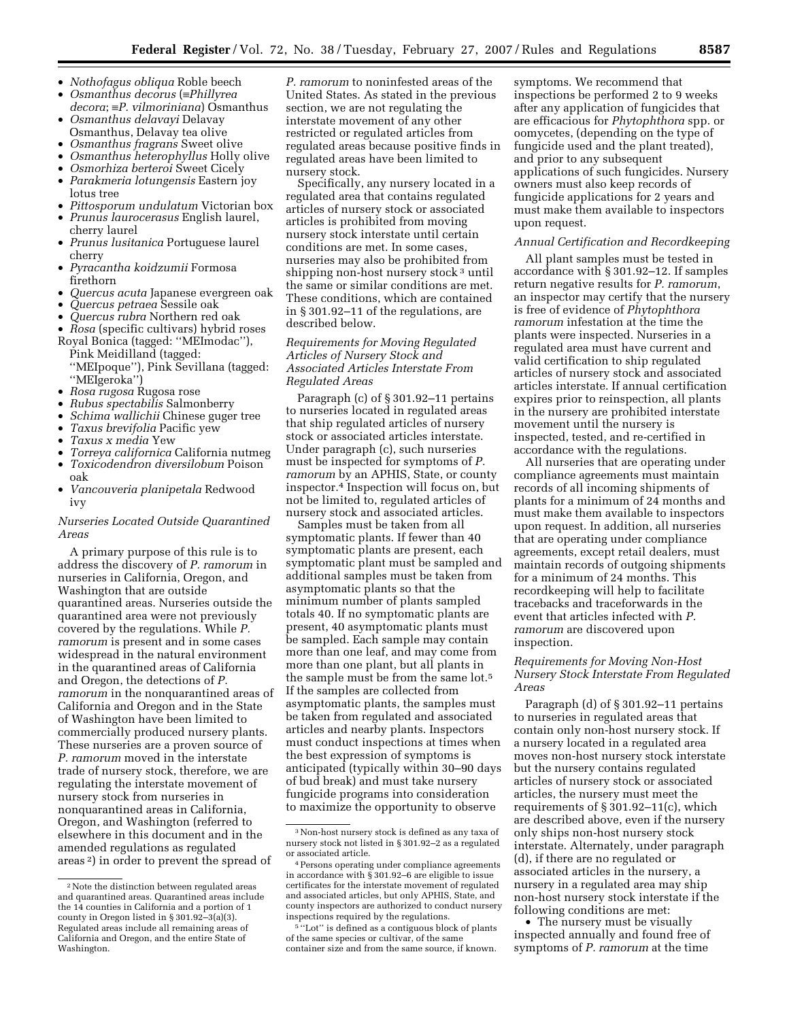- *Nothofagus obliqua* Roble beech
- *Osmanthus decorus* (≡*Phillyrea decora*; ≡*P. vilmoriniana*) Osmanthus • *Osmanthus delavayi* Delavay
- Osmanthus, Delavay tea olive
- *Osmanthus fragrans* Sweet olive
- *Osmanthus heterophyllus* Holly olive
- *Osmorhiza berteroi* Sweet Cicely
- *Parakmeria lotungensis* Eastern joy lotus tree
- *Pittosporum undulatum* Victorian box
- *Prunus laurocerasus* English laurel, cherry laurel
- *Prunus lusitanica* Portuguese laurel cherry
- *Pyracantha koidzumii* Formosa firethorn
- *Quercus acuta* Japanese evergreen oak
- *Quercus petraea* Sessile oak
- *Quercus rubra* Northern red oak
- *Rosa* (specific cultivars) hybrid roses
- Royal Bonica (tagged: ''MEImodac''), Pink Meidilland (tagged:
	- ''MEIpoque''), Pink Sevillana (tagged: ''MEIgeroka'')
- *Rosa rugosa* Rugosa rose
- *Rubus spectabilis* Salmonberry
- *Schima wallichii* Chinese guger tree
- *Taxus brevifolia* Pacific yew
- *Taxus x media* Yew
- *Torreya californica* California nutmeg
- *Toxicodendron diversilobum* Poison
- oak • *Vancouveria planipetala* Redwood
- ivy

# *Nurseries Located Outside Quarantined Areas*

A primary purpose of this rule is to address the discovery of *P. ramorum* in nurseries in California, Oregon, and Washington that are outside quarantined areas. Nurseries outside the quarantined area were not previously covered by the regulations. While *P. ramorum* is present and in some cases widespread in the natural environment in the quarantined areas of California and Oregon, the detections of *P. ramorum* in the nonquarantined areas of California and Oregon and in the State of Washington have been limited to commercially produced nursery plants. These nurseries are a proven source of *P. ramorum* moved in the interstate trade of nursery stock, therefore, we are regulating the interstate movement of nursery stock from nurseries in nonquarantined areas in California, Oregon, and Washington (referred to elsewhere in this document and in the amended regulations as regulated areas 2) in order to prevent the spread of

*P. ramorum* to noninfested areas of the United States. As stated in the previous section, we are not regulating the interstate movement of any other restricted or regulated articles from regulated areas because positive finds in regulated areas have been limited to nursery stock.

Specifically, any nursery located in a regulated area that contains regulated articles of nursery stock or associated articles is prohibited from moving nursery stock interstate until certain conditions are met. In some cases, nurseries may also be prohibited from shipping non-host nursery stock 3 until the same or similar conditions are met. These conditions, which are contained in § 301.92–11 of the regulations, are described below.

*Requirements for Moving Regulated Articles of Nursery Stock and Associated Articles Interstate From Regulated Areas* 

Paragraph (c) of § 301.92–11 pertains to nurseries located in regulated areas that ship regulated articles of nursery stock or associated articles interstate. Under paragraph (c), such nurseries must be inspected for symptoms of *P. ramorum* by an APHIS, State, or county inspector.4 Inspection will focus on, but not be limited to, regulated articles of nursery stock and associated articles.

Samples must be taken from all symptomatic plants. If fewer than 40 symptomatic plants are present, each symptomatic plant must be sampled and additional samples must be taken from asymptomatic plants so that the minimum number of plants sampled totals 40. If no symptomatic plants are present, 40 asymptomatic plants must be sampled. Each sample may contain more than one leaf, and may come from more than one plant, but all plants in the sample must be from the same lot.5 If the samples are collected from asymptomatic plants, the samples must be taken from regulated and associated articles and nearby plants. Inspectors must conduct inspections at times when the best expression of symptoms is anticipated (typically within 30–90 days of bud break) and must take nursery fungicide programs into consideration to maximize the opportunity to observe

symptoms. We recommend that inspections be performed 2 to 9 weeks after any application of fungicides that are efficacious for *Phytophthora* spp. or oomycetes, (depending on the type of fungicide used and the plant treated), and prior to any subsequent applications of such fungicides. Nursery owners must also keep records of fungicide applications for 2 years and must make them available to inspectors upon request.

## *Annual Certification and Recordkeeping*

All plant samples must be tested in accordance with § 301.92–12. If samples return negative results for *P. ramorum*, an inspector may certify that the nursery is free of evidence of *Phytophthora ramorum* infestation at the time the plants were inspected. Nurseries in a regulated area must have current and valid certification to ship regulated articles of nursery stock and associated articles interstate. If annual certification expires prior to reinspection, all plants in the nursery are prohibited interstate movement until the nursery is inspected, tested, and re-certified in accordance with the regulations.

All nurseries that are operating under compliance agreements must maintain records of all incoming shipments of plants for a minimum of 24 months and must make them available to inspectors upon request. In addition, all nurseries that are operating under compliance agreements, except retail dealers, must maintain records of outgoing shipments for a minimum of 24 months. This recordkeeping will help to facilitate tracebacks and traceforwards in the event that articles infected with *P. ramorum* are discovered upon inspection.

## *Requirements for Moving Non-Host Nursery Stock Interstate From Regulated Areas*

Paragraph (d) of § 301.92–11 pertains to nurseries in regulated areas that contain only non-host nursery stock. If a nursery located in a regulated area moves non-host nursery stock interstate but the nursery contains regulated articles of nursery stock or associated articles, the nursery must meet the requirements of § 301.92–11(c), which are described above, even if the nursery only ships non-host nursery stock interstate. Alternately, under paragraph (d), if there are no regulated or associated articles in the nursery, a nursery in a regulated area may ship non-host nursery stock interstate if the following conditions are met:

• The nursery must be visually inspected annually and found free of symptoms of *P. ramorum* at the time

<sup>2</sup>Note the distinction between regulated areas and quarantined areas. Quarantined areas include the 14 counties in California and a portion of 1 county in Oregon listed in § 301.92–3(a)(3). Regulated areas include all remaining areas of California and Oregon, and the entire State of Washington.

<sup>3</sup>Non-host nursery stock is defined as any taxa of nursery stock not listed in § 301.92–2 as a regulated or associated article.

<sup>4</sup>Persons operating under compliance agreements in accordance with § 301.92–6 are eligible to issue certificates for the interstate movement of regulated and associated articles, but only APHIS, State, and county inspectors are authorized to conduct nursery inspections required by the regulations.

<sup>5</sup> ''Lot'' is defined as a contiguous block of plants of the same species or cultivar, of the same container size and from the same source, if known.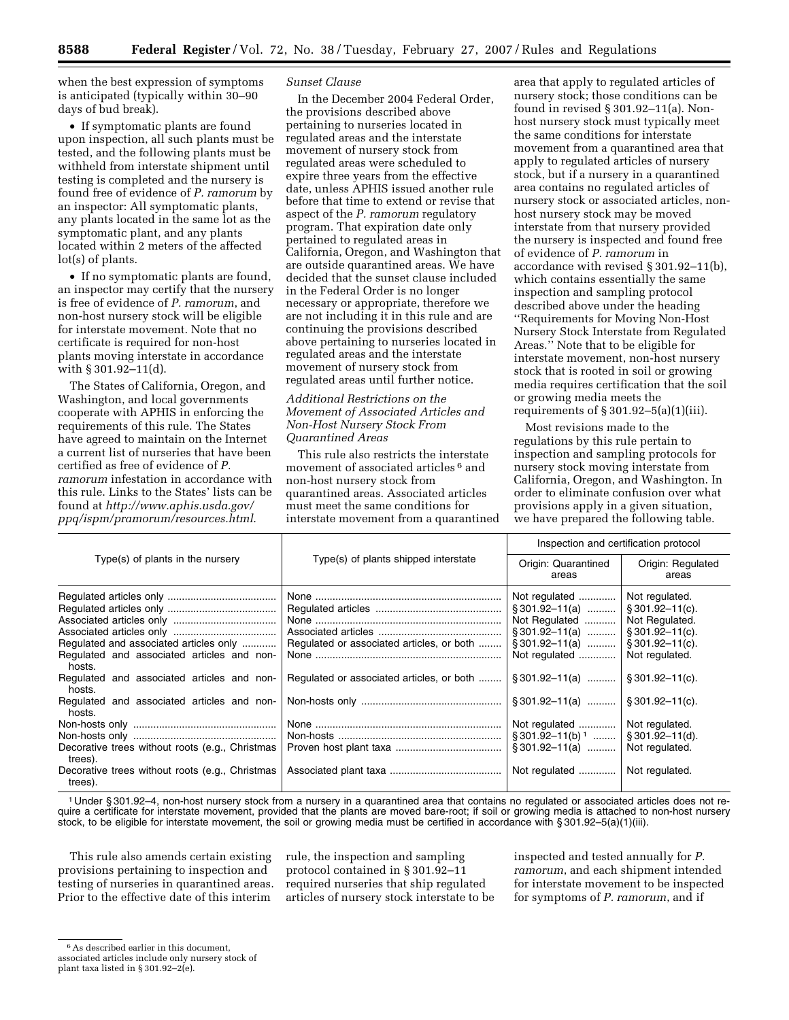when the best expression of symptoms is anticipated (typically within 30–90 days of bud break).

• If symptomatic plants are found upon inspection, all such plants must be tested, and the following plants must be withheld from interstate shipment until testing is completed and the nursery is found free of evidence of *P. ramorum* by an inspector: All symptomatic plants, any plants located in the same lot as the symptomatic plant, and any plants located within 2 meters of the affected lot(s) of plants.

• If no symptomatic plants are found, an inspector may certify that the nursery is free of evidence of *P. ramorum*, and non-host nursery stock will be eligible for interstate movement. Note that no certificate is required for non-host plants moving interstate in accordance with § 301.92–11(d).

The States of California, Oregon, and Washington, and local governments cooperate with APHIS in enforcing the requirements of this rule. The States have agreed to maintain on the Internet a current list of nurseries that have been certified as free of evidence of *P. ramorum* infestation in accordance with this rule. Links to the States' lists can be found at *http://www.aphis.usda.gov/ ppq/ispm/pramorum/resources.html*.

## *Sunset Clause*

In the December 2004 Federal Order, the provisions described above pertaining to nurseries located in regulated areas and the interstate movement of nursery stock from regulated areas were scheduled to expire three years from the effective date, unless APHIS issued another rule before that time to extend or revise that aspect of the *P. ramorum* regulatory program. That expiration date only pertained to regulated areas in California, Oregon, and Washington that are outside quarantined areas. We have decided that the sunset clause included in the Federal Order is no longer necessary or appropriate, therefore we are not including it in this rule and are continuing the provisions described above pertaining to nurseries located in regulated areas and the interstate movement of nursery stock from regulated areas until further notice.

*Additional Restrictions on the Movement of Associated Articles and Non-Host Nursery Stock From Quarantined Areas* 

This rule also restricts the interstate movement of associated articles 6 and non-host nursery stock from quarantined areas. Associated articles must meet the same conditions for interstate movement from a quarantined

area that apply to regulated articles of nursery stock; those conditions can be found in revised § 301.92–11(a). Nonhost nursery stock must typically meet the same conditions for interstate movement from a quarantined area that apply to regulated articles of nursery stock, but if a nursery in a quarantined area contains no regulated articles of nursery stock or associated articles, nonhost nursery stock may be moved interstate from that nursery provided the nursery is inspected and found free of evidence of *P. ramorum* in accordance with revised § 301.92–11(b), which contains essentially the same inspection and sampling protocol described above under the heading ''Requirements for Moving Non-Host Nursery Stock Interstate from Regulated Areas.'' Note that to be eligible for interstate movement, non-host nursery stock that is rooted in soil or growing media requires certification that the soil or growing media meets the requirements of  $\S 301.92 - 5(a)(1)(iii)$ .

Most revisions made to the regulations by this rule pertain to inspection and sampling protocols for nursery stock moving interstate from California, Oregon, and Washington. In order to eliminate confusion over what provisions apply in a given situation, we have prepared the following table.

|                                                                                                                                                                                                                                                                                                                                            | Type(s) of plants shipped interstate                                                   | Inspection and certification protocol                                                                                                                                                                                                                                                                                  |                                                                                                                                                                                                            |
|--------------------------------------------------------------------------------------------------------------------------------------------------------------------------------------------------------------------------------------------------------------------------------------------------------------------------------------------|----------------------------------------------------------------------------------------|------------------------------------------------------------------------------------------------------------------------------------------------------------------------------------------------------------------------------------------------------------------------------------------------------------------------|------------------------------------------------------------------------------------------------------------------------------------------------------------------------------------------------------------|
| Type(s) of plants in the nursery                                                                                                                                                                                                                                                                                                           |                                                                                        | Origin: Quarantined<br>areas                                                                                                                                                                                                                                                                                           | Origin: Regulated<br>areas                                                                                                                                                                                 |
| Regulated and associated articles only<br>Regulated and associated articles and non-<br>hosts.<br>Regulated and associated articles and non-<br>hosts.<br>Regulated and associated articles and non-<br>hosts.<br>Decorative trees without roots (e.g., Christmas<br>trees).<br>Decorative trees without roots (e.g., Christmas<br>trees). | Regulated or associated articles, or both<br>Regulated or associated articles, or both | Not regulated<br>$§ 301.92 - 11(a)$<br>Not Regulated<br>$$301.92 - 11(a)$<br>$§ 301.92 - 11(a)$<br>Not regulated<br>$\S 301.92 - 11(a)$ $\S 301.92 - 11(c)$ .<br>$\S 301.92 - 11(a)$ $\S 301.92 - 11(c)$ .<br>Not regulated $\ldots$<br>$\S 301.92 - 11(b)$ <sup>1</sup><br>$\text{\$}301.92 - 11(a)$<br>Not regulated | Not regulated.<br>$\S 301.92 - 11(c)$ .<br>Not Regulated.<br>$§ 301.92 - 11(c).$<br>$\S 301.92 - 11(c)$ .<br>Not regulated.<br>Not regulated.<br>$\S 301.92 - 11(d)$ .<br>Not regulated.<br>Not regulated. |
|                                                                                                                                                                                                                                                                                                                                            |                                                                                        |                                                                                                                                                                                                                                                                                                                        |                                                                                                                                                                                                            |

1 Under § 301.92–4, non-host nursery stock from a nursery in a quarantined area that contains no regulated or associated articles does not require a certificate for interstate movement, provided that the plants are moved bare-root; if soil or growing media is attached to non-host nursery stock, to be eligible for interstate movement, the soil or growing media must be certified in accordance with § 301.92–5(a)(1)(iii).

This rule also amends certain existing provisions pertaining to inspection and testing of nurseries in quarantined areas. Prior to the effective date of this interim

rule, the inspection and sampling protocol contained in § 301.92–11 required nurseries that ship regulated articles of nursery stock interstate to be inspected and tested annually for *P. ramorum*, and each shipment intended for interstate movement to be inspected for symptoms of *P. ramorum*, and if

<sup>6</sup>As described earlier in this document, associated articles include only nursery stock of

plant taxa listed in § 301.92–2(e).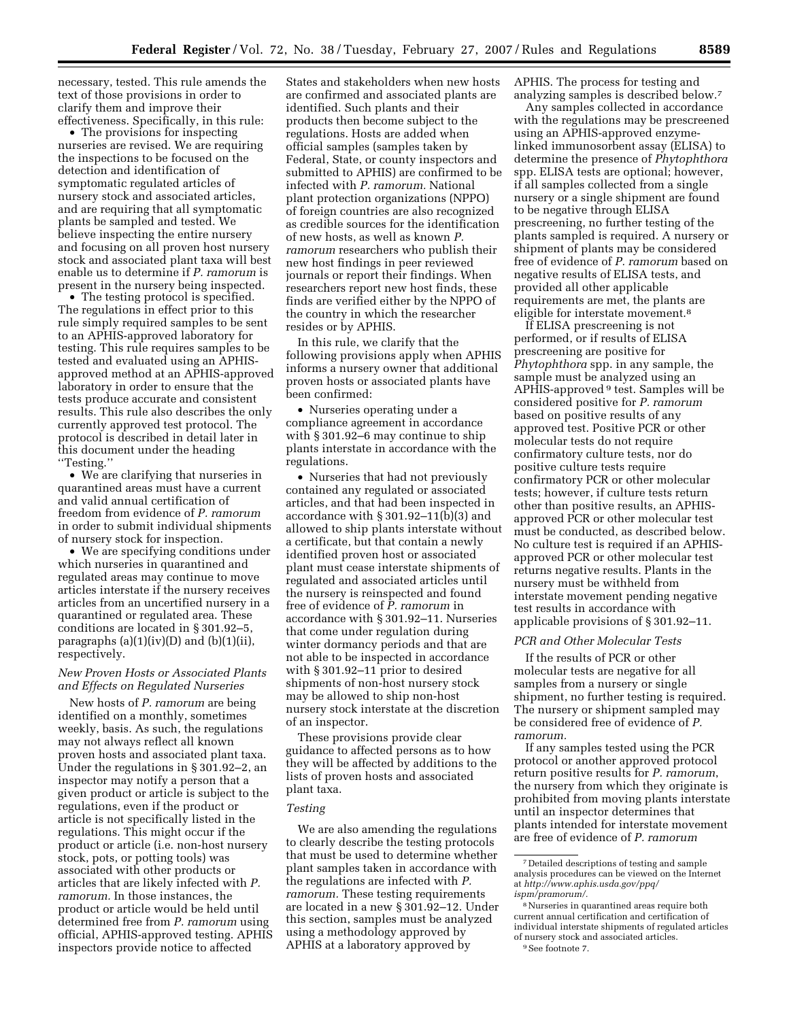necessary, tested. This rule amends the text of those provisions in order to clarify them and improve their effectiveness. Specifically, in this rule:

• The provisions for inspecting nurseries are revised. We are requiring the inspections to be focused on the detection and identification of symptomatic regulated articles of nursery stock and associated articles, and are requiring that all symptomatic plants be sampled and tested. We believe inspecting the entire nursery and focusing on all proven host nursery stock and associated plant taxa will best enable us to determine if *P. ramorum* is present in the nursery being inspected.

• The testing protocol is specified. The regulations in effect prior to this rule simply required samples to be sent to an APHIS-approved laboratory for testing. This rule requires samples to be tested and evaluated using an APHISapproved method at an APHIS-approved laboratory in order to ensure that the tests produce accurate and consistent results. This rule also describes the only currently approved test protocol. The protocol is described in detail later in this document under the heading ''Testing.''

• We are clarifying that nurseries in quarantined areas must have a current and valid annual certification of freedom from evidence of *P. ramorum*  in order to submit individual shipments of nursery stock for inspection.

• We are specifying conditions under which nurseries in quarantined and regulated areas may continue to move articles interstate if the nursery receives articles from an uncertified nursery in a quarantined or regulated area. These conditions are located in § 301.92–5, paragraphs  $(a)(1)(iv)(D)$  and  $(b)(1)(ii)$ , respectively.

## *New Proven Hosts or Associated Plants and Effects on Regulated Nurseries*

New hosts of *P. ramorum* are being identified on a monthly, sometimes weekly, basis. As such, the regulations may not always reflect all known proven hosts and associated plant taxa. Under the regulations in § 301.92–2, an inspector may notify a person that a given product or article is subject to the regulations, even if the product or article is not specifically listed in the regulations. This might occur if the product or article (i.e. non-host nursery stock, pots, or potting tools) was associated with other products or articles that are likely infected with *P. ramorum.* In those instances, the product or article would be held until determined free from *P. ramorum* using official, APHIS-approved testing. APHIS inspectors provide notice to affected

States and stakeholders when new hosts are confirmed and associated plants are identified. Such plants and their products then become subject to the regulations. Hosts are added when official samples (samples taken by Federal, State, or county inspectors and submitted to APHIS) are confirmed to be infected with *P. ramorum.* National plant protection organizations (NPPO) of foreign countries are also recognized as credible sources for the identification of new hosts, as well as known *P. ramorum* researchers who publish their new host findings in peer reviewed journals or report their findings. When researchers report new host finds, these finds are verified either by the NPPO of the country in which the researcher resides or by APHIS.

In this rule, we clarify that the following provisions apply when APHIS informs a nursery owner that additional proven hosts or associated plants have been confirmed:

• Nurseries operating under a compliance agreement in accordance with § 301.92–6 may continue to ship plants interstate in accordance with the regulations.

• Nurseries that had not previously contained any regulated or associated articles, and that had been inspected in accordance with § 301.92–11(b)(3) and allowed to ship plants interstate without a certificate, but that contain a newly identified proven host or associated plant must cease interstate shipments of regulated and associated articles until the nursery is reinspected and found free of evidence of *P. ramorum* in accordance with § 301.92–11. Nurseries that come under regulation during winter dormancy periods and that are not able to be inspected in accordance with § 301.92–11 prior to desired shipments of non-host nursery stock may be allowed to ship non-host nursery stock interstate at the discretion of an inspector.

These provisions provide clear guidance to affected persons as to how they will be affected by additions to the lists of proven hosts and associated plant taxa.

### *Testing*

We are also amending the regulations to clearly describe the testing protocols that must be used to determine whether plant samples taken in accordance with the regulations are infected with *P. ramorum.* These testing requirements are located in a new § 301.92–12. Under this section, samples must be analyzed using a methodology approved by APHIS at a laboratory approved by

APHIS. The process for testing and analyzing samples is described below.7

Any samples collected in accordance with the regulations may be prescreened using an APHIS-approved enzymelinked immunosorbent assay (ELISA) to determine the presence of *Phytophthora*  spp. ELISA tests are optional; however, if all samples collected from a single nursery or a single shipment are found to be negative through ELISA prescreening, no further testing of the plants sampled is required. A nursery or shipment of plants may be considered free of evidence of *P. ramorum* based on negative results of ELISA tests, and provided all other applicable requirements are met, the plants are eligible for interstate movement.8

If ELISA prescreening is not performed, or if results of ELISA prescreening are positive for *Phytophthora* spp. in any sample, the sample must be analyzed using an APHIS-approved 9 test. Samples will be considered positive for *P. ramorum*  based on positive results of any approved test. Positive PCR or other molecular tests do not require confirmatory culture tests, nor do positive culture tests require confirmatory PCR or other molecular tests; however, if culture tests return other than positive results, an APHISapproved PCR or other molecular test must be conducted, as described below. No culture test is required if an APHISapproved PCR or other molecular test returns negative results. Plants in the nursery must be withheld from interstate movement pending negative test results in accordance with applicable provisions of § 301.92–11.

#### *PCR and Other Molecular Tests*

If the results of PCR or other molecular tests are negative for all samples from a nursery or single shipment, no further testing is required. The nursery or shipment sampled may be considered free of evidence of *P. ramorum.* 

If any samples tested using the PCR protocol or another approved protocol return positive results for *P. ramorum*, the nursery from which they originate is prohibited from moving plants interstate until an inspector determines that plants intended for interstate movement are free of evidence of *P. ramorum* 

<sup>7</sup> Detailed descriptions of testing and sample analysis procedures can be viewed on the Internet at *http://www.aphis.usda.gov/ppq/ ispm/pramorum/.* 

<sup>8</sup>Nurseries in quarantined areas require both current annual certification and certification of individual interstate shipments of regulated articles of nursery stock and associated articles. 9See footnote 7.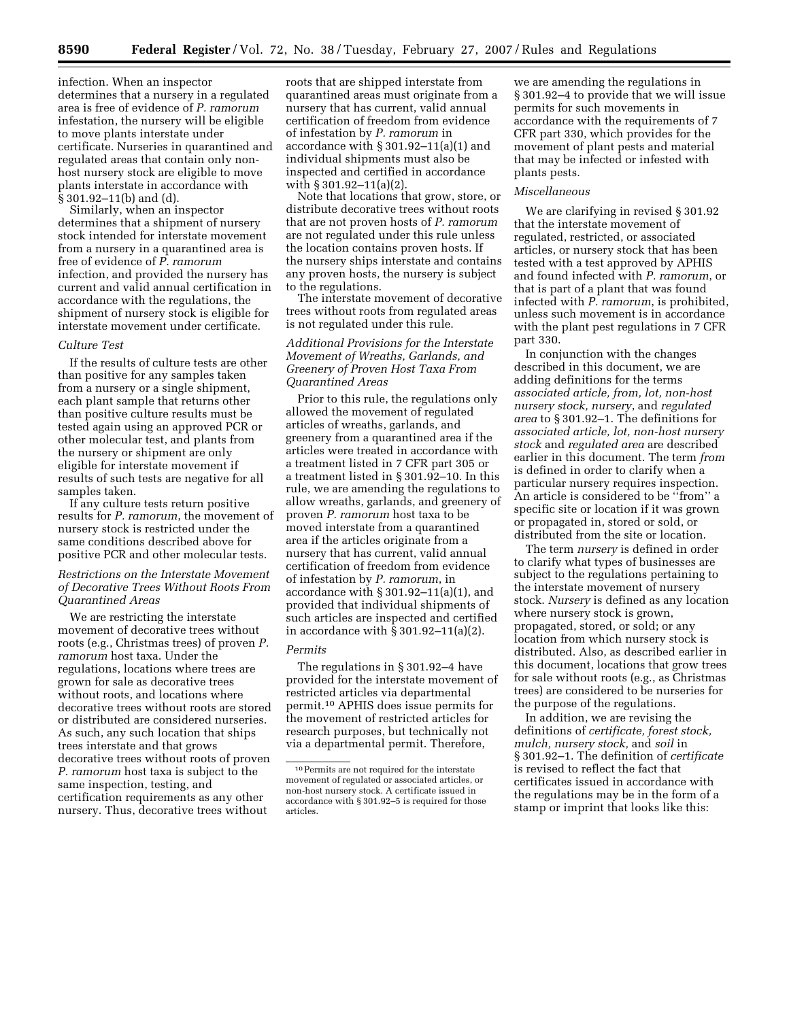infection. When an inspector determines that a nursery in a regulated area is free of evidence of *P. ramorum*  infestation, the nursery will be eligible to move plants interstate under certificate. Nurseries in quarantined and regulated areas that contain only nonhost nursery stock are eligible to move plants interstate in accordance with § 301.92–11(b) and (d).

Similarly, when an inspector determines that a shipment of nursery stock intended for interstate movement from a nursery in a quarantined area is free of evidence of *P. ramorum*  infection, and provided the nursery has current and valid annual certification in accordance with the regulations, the shipment of nursery stock is eligible for interstate movement under certificate.

#### *Culture Test*

If the results of culture tests are other than positive for any samples taken from a nursery or a single shipment, each plant sample that returns other than positive culture results must be tested again using an approved PCR or other molecular test, and plants from the nursery or shipment are only eligible for interstate movement if results of such tests are negative for all samples taken.

If any culture tests return positive results for *P. ramorum*, the movement of nursery stock is restricted under the same conditions described above for positive PCR and other molecular tests.

# *Restrictions on the Interstate Movement of Decorative Trees Without Roots From Quarantined Areas*

We are restricting the interstate movement of decorative trees without roots (e.g., Christmas trees) of proven *P. ramorum* host taxa. Under the regulations, locations where trees are grown for sale as decorative trees without roots, and locations where decorative trees without roots are stored or distributed are considered nurseries. As such, any such location that ships trees interstate and that grows decorative trees without roots of proven *P. ramorum* host taxa is subject to the same inspection, testing, and certification requirements as any other nursery. Thus, decorative trees without

roots that are shipped interstate from quarantined areas must originate from a nursery that has current, valid annual certification of freedom from evidence of infestation by *P. ramorum* in accordance with § 301.92–11(a)(1) and individual shipments must also be inspected and certified in accordance with § 301.92–11(a)(2).

Note that locations that grow, store, or distribute decorative trees without roots that are not proven hosts of *P. ramorum*  are not regulated under this rule unless the location contains proven hosts. If the nursery ships interstate and contains any proven hosts, the nursery is subject to the regulations.

The interstate movement of decorative trees without roots from regulated areas is not regulated under this rule.

# *Additional Provisions for the Interstate Movement of Wreaths, Garlands, and Greenery of Proven Host Taxa From Quarantined Areas*

Prior to this rule, the regulations only allowed the movement of regulated articles of wreaths, garlands, and greenery from a quarantined area if the articles were treated in accordance with a treatment listed in 7 CFR part 305 or a treatment listed in § 301.92–10. In this rule, we are amending the regulations to allow wreaths, garlands, and greenery of proven *P. ramorum* host taxa to be moved interstate from a quarantined area if the articles originate from a nursery that has current, valid annual certification of freedom from evidence of infestation by *P. ramorum*, in accordance with § 301.92–11(a)(1), and provided that individual shipments of such articles are inspected and certified in accordance with  $\S 301.92 - 11(a)(2)$ .

#### *Permits*

The regulations in § 301.92–4 have provided for the interstate movement of restricted articles via departmental permit.10 APHIS does issue permits for the movement of restricted articles for research purposes, but technically not via a departmental permit. Therefore,

we are amending the regulations in § 301.92–4 to provide that we will issue permits for such movements in accordance with the requirements of 7 CFR part 330, which provides for the movement of plant pests and material that may be infected or infested with plants pests.

#### *Miscellaneous*

We are clarifying in revised § 301.92 that the interstate movement of regulated, restricted, or associated articles, or nursery stock that has been tested with a test approved by APHIS and found infected with *P. ramorum*, or that is part of a plant that was found infected with *P. ramorum*, is prohibited, unless such movement is in accordance with the plant pest regulations in 7 CFR part 330.

In conjunction with the changes described in this document, we are adding definitions for the terms *associated article, from, lot, non-host nursery stock, nursery*, and *regulated area* to § 301.92–1. The definitions for *associated article, lot, non-host nursery stock* and *regulated area* are described earlier in this document. The term *from*  is defined in order to clarify when a particular nursery requires inspection. An article is considered to be ''from'' a specific site or location if it was grown or propagated in, stored or sold, or distributed from the site or location.

The term *nursery* is defined in order to clarify what types of businesses are subject to the regulations pertaining to the interstate movement of nursery stock. *Nursery* is defined as any location where nursery stock is grown, propagated, stored, or sold; or any location from which nursery stock is distributed. Also, as described earlier in this document, locations that grow trees for sale without roots (e.g., as Christmas trees) are considered to be nurseries for the purpose of the regulations.

In addition, we are revising the definitions of *certificate, forest stock, mulch, nursery stock,* and *soil* in § 301.92–1. The definition of *certificate*  is revised to reflect the fact that certificates issued in accordance with the regulations may be in the form of a stamp or imprint that looks like this:

<sup>&</sup>lt;sup>10</sup> Permits are not required for the interstate movement of regulated or associated articles, or non-host nursery stock. A certificate issued in accordance with § 301.92–5 is required for those articles.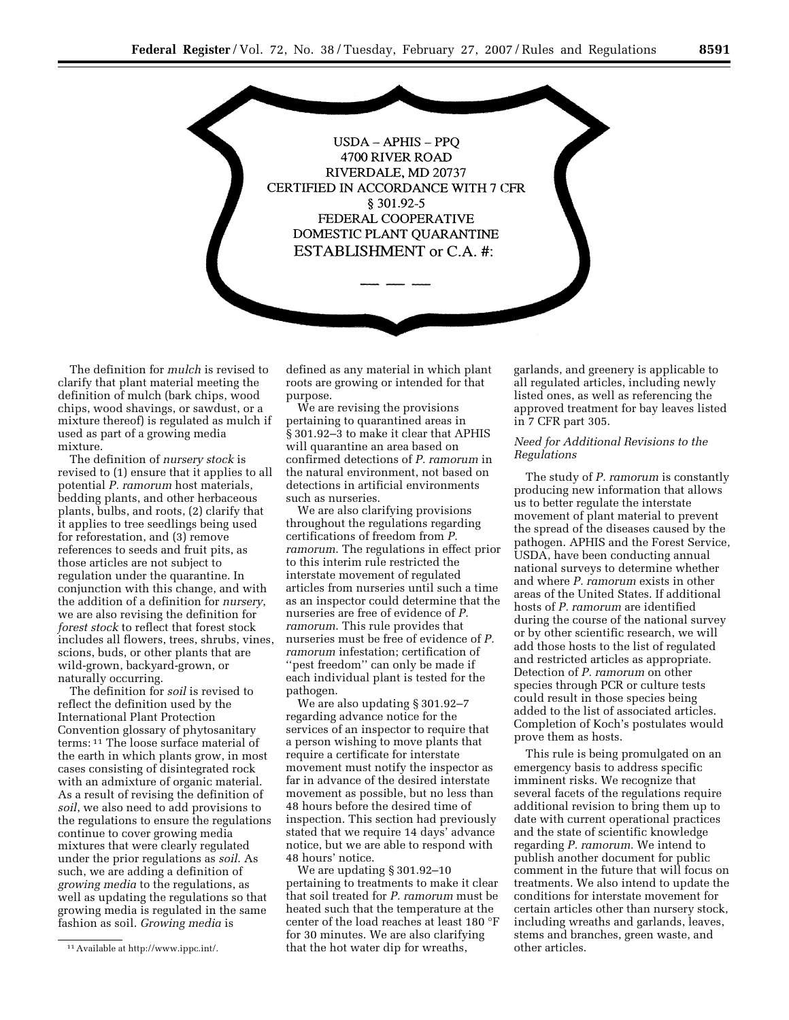

The definition for *mulch* is revised to clarify that plant material meeting the definition of mulch (bark chips, wood chips, wood shavings, or sawdust, or a mixture thereof) is regulated as mulch if used as part of a growing media mixture.

The definition of *nursery stock* is revised to (1) ensure that it applies to all potential *P. ramorum* host materials, bedding plants, and other herbaceous plants, bulbs, and roots, (2) clarify that it applies to tree seedlings being used for reforestation, and (3) remove references to seeds and fruit pits, as those articles are not subject to regulation under the quarantine. In conjunction with this change, and with the addition of a definition for *nursery*, we are also revising the definition for *forest stock* to reflect that forest stock includes all flowers, trees, shrubs, vines, scions, buds, or other plants that are wild-grown, backyard-grown, or naturally occurring.

The definition for *soil* is revised to reflect the definition used by the International Plant Protection Convention glossary of phytosanitary terms: 11 The loose surface material of the earth in which plants grow, in most cases consisting of disintegrated rock with an admixture of organic material. As a result of revising the definition of *soil*, we also need to add provisions to the regulations to ensure the regulations continue to cover growing media mixtures that were clearly regulated under the prior regulations as *soil*. As such, we are adding a definition of *growing media* to the regulations, as well as updating the regulations so that growing media is regulated in the same fashion as soil. *Growing media* is

defined as any material in which plant roots are growing or intended for that purpose.

We are revising the provisions pertaining to quarantined areas in § 301.92–3 to make it clear that APHIS will quarantine an area based on confirmed detections of *P. ramorum* in the natural environment, not based on detections in artificial environments such as nurseries.

We are also clarifying provisions throughout the regulations regarding certifications of freedom from *P. ramorum*. The regulations in effect prior to this interim rule restricted the interstate movement of regulated articles from nurseries until such a time as an inspector could determine that the nurseries are free of evidence of *P. ramorum*. This rule provides that nurseries must be free of evidence of *P. ramorum* infestation; certification of ''pest freedom'' can only be made if each individual plant is tested for the pathogen.

We are also updating § 301.92–7 regarding advance notice for the services of an inspector to require that a person wishing to move plants that require a certificate for interstate movement must notify the inspector as far in advance of the desired interstate movement as possible, but no less than 48 hours before the desired time of inspection. This section had previously stated that we require 14 days' advance notice, but we are able to respond with 48 hours' notice.

We are updating § 301.92–10 pertaining to treatments to make it clear that soil treated for *P. ramorum* must be heated such that the temperature at the center of the load reaches at least 180 °F for 30 minutes. We are also clarifying that the hot water dip for wreaths,

garlands, and greenery is applicable to all regulated articles, including newly listed ones, as well as referencing the approved treatment for bay leaves listed in 7 CFR part 305.

## *Need for Additional Revisions to the Regulations*

The study of *P. ramorum* is constantly producing new information that allows us to better regulate the interstate movement of plant material to prevent the spread of the diseases caused by the pathogen. APHIS and the Forest Service, USDA, have been conducting annual national surveys to determine whether and where *P. ramorum* exists in other areas of the United States. If additional hosts of *P. ramorum* are identified during the course of the national survey or by other scientific research, we will add those hosts to the list of regulated and restricted articles as appropriate. Detection of *P. ramorum* on other species through PCR or culture tests could result in those species being added to the list of associated articles. Completion of Koch's postulates would prove them as hosts.

This rule is being promulgated on an emergency basis to address specific imminent risks. We recognize that several facets of the regulations require additional revision to bring them up to date with current operational practices and the state of scientific knowledge regarding *P. ramorum.* We intend to publish another document for public comment in the future that will focus on treatments. We also intend to update the conditions for interstate movement for certain articles other than nursery stock, including wreaths and garlands, leaves, stems and branches, green waste, and other articles.

<sup>11</sup>Available at http://www.ippc.int/.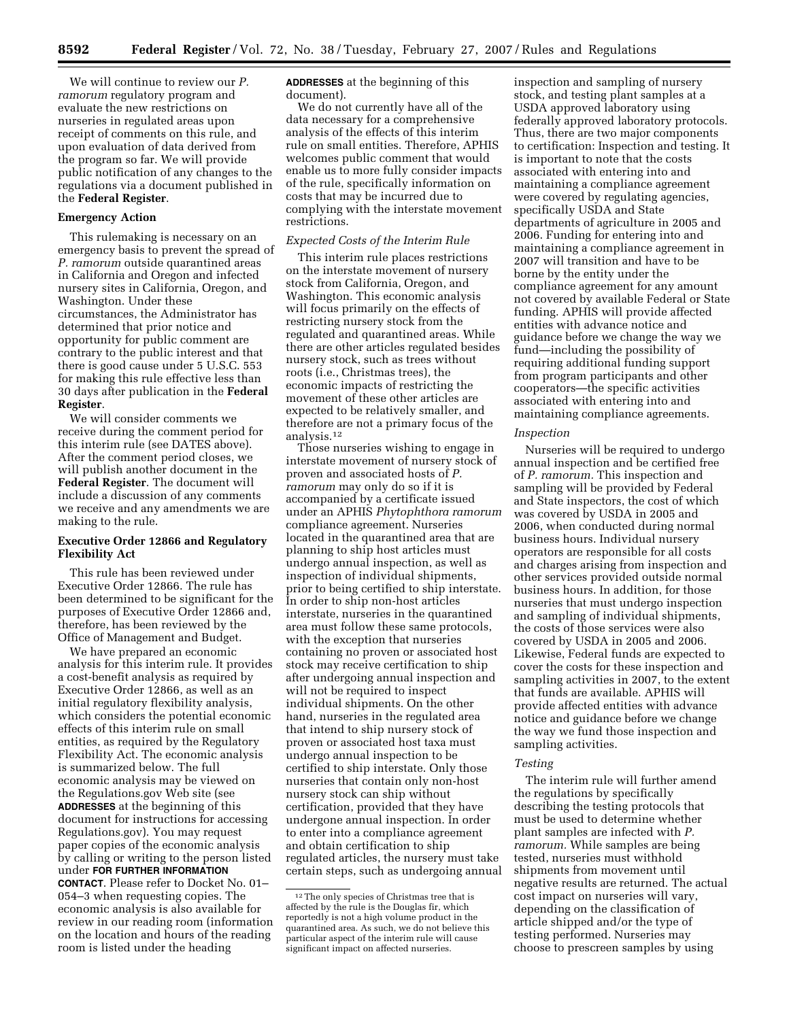We will continue to review our *P. ramorum* regulatory program and evaluate the new restrictions on nurseries in regulated areas upon receipt of comments on this rule, and upon evaluation of data derived from the program so far. We will provide public notification of any changes to the regulations via a document published in the **Federal Register**.

## **Emergency Action**

This rulemaking is necessary on an emergency basis to prevent the spread of *P. ramorum* outside quarantined areas in California and Oregon and infected nursery sites in California, Oregon, and Washington. Under these circumstances, the Administrator has determined that prior notice and opportunity for public comment are contrary to the public interest and that there is good cause under 5 U.S.C. 553 for making this rule effective less than 30 days after publication in the **Federal Register**.

We will consider comments we receive during the comment period for this interim rule (see DATES above). After the comment period closes, we will publish another document in the **Federal Register**. The document will include a discussion of any comments we receive and any amendments we are making to the rule.

## **Executive Order 12866 and Regulatory Flexibility Act**

This rule has been reviewed under Executive Order 12866. The rule has been determined to be significant for the purposes of Executive Order 12866 and, therefore, has been reviewed by the Office of Management and Budget.

We have prepared an economic analysis for this interim rule. It provides a cost-benefit analysis as required by Executive Order 12866, as well as an initial regulatory flexibility analysis, which considers the potential economic effects of this interim rule on small entities, as required by the Regulatory Flexibility Act. The economic analysis is summarized below. The full economic analysis may be viewed on the Regulations.gov Web site (see **ADDRESSES** at the beginning of this document for instructions for accessing Regulations.gov). You may request paper copies of the economic analysis by calling or writing to the person listed under **FOR FURTHER INFORMATION CONTACT**. Please refer to Docket No. 01– 054–3 when requesting copies. The economic analysis is also available for review in our reading room (information on the location and hours of the reading

room is listed under the heading

**ADDRESSES** at the beginning of this document).

We do not currently have all of the data necessary for a comprehensive analysis of the effects of this interim rule on small entities. Therefore, APHIS welcomes public comment that would enable us to more fully consider impacts of the rule, specifically information on costs that may be incurred due to complying with the interstate movement restrictions.

#### *Expected Costs of the Interim Rule*

This interim rule places restrictions on the interstate movement of nursery stock from California, Oregon, and Washington. This economic analysis will focus primarily on the effects of restricting nursery stock from the regulated and quarantined areas. While there are other articles regulated besides nursery stock, such as trees without roots (i.e., Christmas trees), the economic impacts of restricting the movement of these other articles are expected to be relatively smaller, and therefore are not a primary focus of the analysis.12

Those nurseries wishing to engage in interstate movement of nursery stock of proven and associated hosts of *P. ramorum* may only do so if it is accompanied by a certificate issued under an APHIS *Phytophthora ramorum*  compliance agreement. Nurseries located in the quarantined area that are planning to ship host articles must undergo annual inspection, as well as inspection of individual shipments, prior to being certified to ship interstate. In order to ship non-host articles interstate, nurseries in the quarantined area must follow these same protocols, with the exception that nurseries containing no proven or associated host stock may receive certification to ship after undergoing annual inspection and will not be required to inspect individual shipments. On the other hand, nurseries in the regulated area that intend to ship nursery stock of proven or associated host taxa must undergo annual inspection to be certified to ship interstate. Only those nurseries that contain only non-host nursery stock can ship without certification, provided that they have undergone annual inspection. In order to enter into a compliance agreement and obtain certification to ship regulated articles, the nursery must take certain steps, such as undergoing annual

inspection and sampling of nursery stock, and testing plant samples at a USDA approved laboratory using federally approved laboratory protocols. Thus, there are two major components to certification: Inspection and testing. It is important to note that the costs associated with entering into and maintaining a compliance agreement were covered by regulating agencies, specifically USDA and State departments of agriculture in 2005 and 2006. Funding for entering into and maintaining a compliance agreement in 2007 will transition and have to be borne by the entity under the compliance agreement for any amount not covered by available Federal or State funding. APHIS will provide affected entities with advance notice and guidance before we change the way we fund—including the possibility of requiring additional funding support from program participants and other cooperators—the specific activities associated with entering into and maintaining compliance agreements.

#### *Inspection*

Nurseries will be required to undergo annual inspection and be certified free of *P. ramorum.* This inspection and sampling will be provided by Federal and State inspectors, the cost of which was covered by USDA in 2005 and 2006, when conducted during normal business hours. Individual nursery operators are responsible for all costs and charges arising from inspection and other services provided outside normal business hours. In addition, for those nurseries that must undergo inspection and sampling of individual shipments, the costs of those services were also covered by USDA in 2005 and 2006. Likewise, Federal funds are expected to cover the costs for these inspection and sampling activities in 2007, to the extent that funds are available. APHIS will provide affected entities with advance notice and guidance before we change the way we fund those inspection and sampling activities.

#### *Testing*

The interim rule will further amend the regulations by specifically describing the testing protocols that must be used to determine whether plant samples are infected with *P. ramorum.* While samples are being tested, nurseries must withhold shipments from movement until negative results are returned. The actual cost impact on nurseries will vary, depending on the classification of article shipped and/or the type of testing performed. Nurseries may choose to prescreen samples by using

<sup>12</sup>The only species of Christmas tree that is affected by the rule is the Douglas fir, which reportedly is not a high volume product in the quarantined area. As such, we do not believe this particular aspect of the interim rule will cause significant impact on affected nurseries.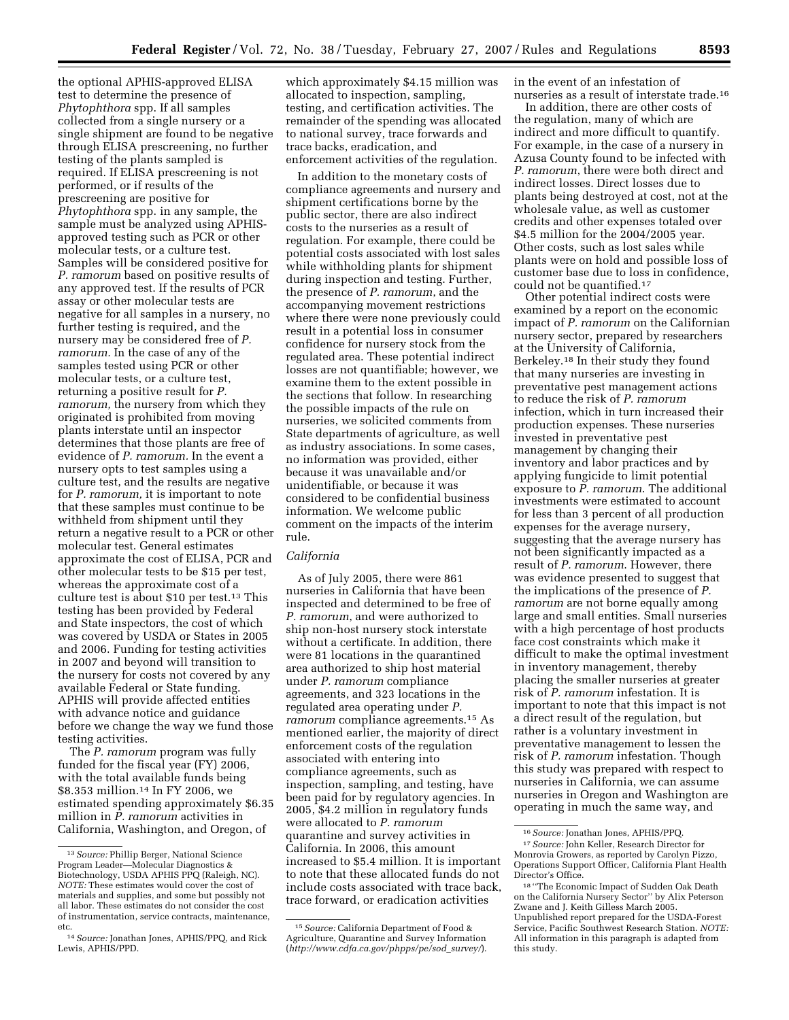which approximately \$4.15 million was allocated to inspection, sampling, testing, and certification activities. The remainder of the spending was allocated to national survey, trace forwards and trace backs, eradication, and enforcement activities of the regulation. In addition to the monetary costs of compliance agreements and nursery and shipment certifications borne by the public sector, there are also indirect costs to the nurseries as a result of regulation. For example, there could be potential costs associated with lost sales

while withholding plants for shipment during inspection and testing. Further, the presence of *P. ramorum*, and the accompanying movement restrictions where there were none previously could result in a potential loss in consumer confidence for nursery stock from the regulated area. These potential indirect losses are not quantifiable; however, we examine them to the extent possible in the sections that follow. In researching the possible impacts of the rule on nurseries, we solicited comments from State departments of agriculture, as well as industry associations. In some cases, no information was provided, either because it was unavailable and/or unidentifiable, or because it was considered to be confidential business information. We welcome public comment on the impacts of the interim rule.

# *California*

As of July 2005, there were 861 nurseries in California that have been inspected and determined to be free of *P. ramorum*, and were authorized to ship non-host nursery stock interstate without a certificate. In addition, there were 81 locations in the quarantined area authorized to ship host material under *P. ramorum* compliance agreements, and 323 locations in the regulated area operating under *P. ramorum* compliance agreements.15 As mentioned earlier, the majority of direct enforcement costs of the regulation associated with entering into compliance agreements, such as inspection, sampling, and testing, have been paid for by regulatory agencies. In 2005, \$4.2 million in regulatory funds were allocated to *P. ramorum*  quarantine and survey activities in California. In 2006, this amount increased to \$5.4 million. It is important to note that these allocated funds do not include costs associated with trace back, trace forward, or eradication activities

in the event of an infestation of nurseries as a result of interstate trade.16

In addition, there are other costs of the regulation, many of which are indirect and more difficult to quantify. For example, in the case of a nursery in Azusa County found to be infected with *P. ramorum*, there were both direct and indirect losses. Direct losses due to plants being destroyed at cost, not at the wholesale value, as well as customer credits and other expenses totaled over \$4.5 million for the 2004/2005 year. Other costs, such as lost sales while plants were on hold and possible loss of customer base due to loss in confidence, could not be quantified.17

Other potential indirect costs were examined by a report on the economic impact of *P. ramorum* on the Californian nursery sector, prepared by researchers at the University of California, Berkeley.18 In their study they found that many nurseries are investing in preventative pest management actions to reduce the risk of *P. ramorum*  infection, which in turn increased their production expenses. These nurseries invested in preventative pest management by changing their inventory and labor practices and by applying fungicide to limit potential exposure to *P. ramorum*. The additional investments were estimated to account for less than 3 percent of all production expenses for the average nursery, suggesting that the average nursery has not been significantly impacted as a result of *P. ramorum*. However, there was evidence presented to suggest that the implications of the presence of *P. ramorum* are not borne equally among large and small entities. Small nurseries with a high percentage of host products face cost constraints which make it difficult to make the optimal investment in inventory management, thereby placing the smaller nurseries at greater risk of *P. ramorum* infestation. It is important to note that this impact is not a direct result of the regulation, but rather is a voluntary investment in preventative management to lessen the risk of *P. ramorum* infestation. Though this study was prepared with respect to nurseries in California, we can assume nurseries in Oregon and Washington are operating in much the same way, and

the optional APHIS-approved ELISA test to determine the presence of *Phytophthora* spp. If all samples collected from a single nursery or a single shipment are found to be negative through ELISA prescreening, no further testing of the plants sampled is required. If ELISA prescreening is not performed, or if results of the prescreening are positive for *Phytophthora* spp. in any sample, the sample must be analyzed using APHISapproved testing such as PCR or other molecular tests, or a culture test. Samples will be considered positive for *P. ramorum* based on positive results of any approved test. If the results of PCR assay or other molecular tests are negative for all samples in a nursery, no further testing is required, and the nursery may be considered free of *P. ramorum.* In the case of any of the samples tested using PCR or other molecular tests, or a culture test, returning a positive result for *P. ramorum,* the nursery from which they originated is prohibited from moving plants interstate until an inspector determines that those plants are free of evidence of *P. ramorum.* In the event a nursery opts to test samples using a culture test, and the results are negative for *P. ramorum,* it is important to note that these samples must continue to be withheld from shipment until they return a negative result to a PCR or other molecular test. General estimates approximate the cost of ELISA, PCR and other molecular tests to be \$15 per test, whereas the approximate cost of a culture test is about \$10 per test.13 This testing has been provided by Federal and State inspectors, the cost of which was covered by USDA or States in 2005 and 2006. Funding for testing activities in 2007 and beyond will transition to the nursery for costs not covered by any available Federal or State funding. APHIS will provide affected entities with advance notice and guidance before we change the way we fund those testing activities. The *P. ramorum* program was fully

funded for the fiscal year (FY) 2006, with the total available funds being \$8.353 million.14 In FY 2006, we estimated spending approximately \$6.35 million in *P. ramorum* activities in California, Washington, and Oregon, of

<sup>15</sup>*Source:* California Department of Food & Agriculture, Quarantine and Survey Information (*http://www.cdfa.ca.gov/phpps/pe/sod*\_*survey/*).

<sup>16</sup>*Source:* Jonathan Jones, APHIS/PPQ.

<sup>17</sup>*Source:* John Keller, Research Director for Monrovia Growers, as reported by Carolyn Pizzo, Operations Support Officer, California Plant Health Director's Office.

<sup>18</sup> ''The Economic Impact of Sudden Oak Death on the California Nursery Sector'' by Alix Peterson Zwane and J. Keith Gilless March 2005. Unpublished report prepared for the USDA-Forest Service, Pacific Southwest Research Station. *NOTE:*  All information in this paragraph is adapted from this study.

<sup>13</sup>*Source:* Phillip Berger, National Science Program Leader—Molecular Diagnostics & Biotechnology, USDA APHIS PPQ (Raleigh, NC). *NOTE:* These estimates would cover the cost of materials and supplies, and some but possibly not all labor. These estimates do not consider the cost of instrumentation, service contracts, maintenance, etc.

<sup>14</sup>*Source:* Jonathan Jones, APHIS/PPQ, and Rick Lewis, APHIS/PPD.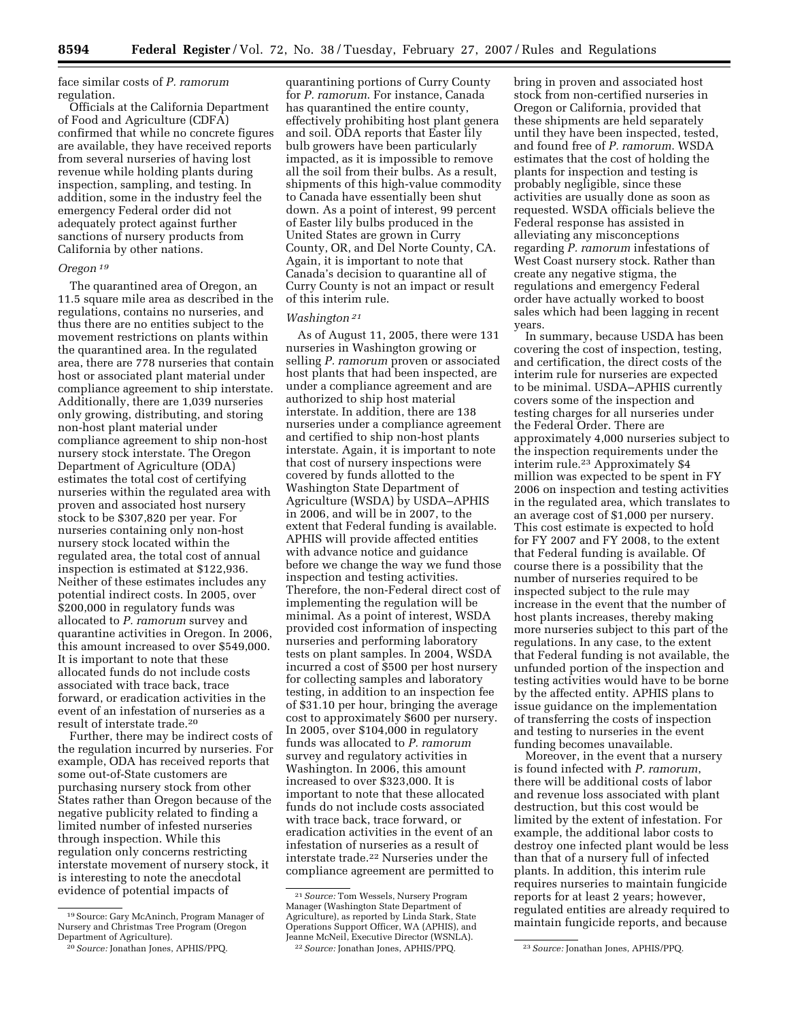face similar costs of *P. ramorum*  regulation.

Officials at the California Department of Food and Agriculture (CDFA) confirmed that while no concrete figures are available, they have received reports from several nurseries of having lost revenue while holding plants during inspection, sampling, and testing. In addition, some in the industry feel the emergency Federal order did not adequately protect against further sanctions of nursery products from California by other nations.

#### *Oregon 19*

The quarantined area of Oregon, an 11.5 square mile area as described in the regulations, contains no nurseries, and thus there are no entities subject to the movement restrictions on plants within the quarantined area. In the regulated area, there are 778 nurseries that contain host or associated plant material under compliance agreement to ship interstate. Additionally, there are 1,039 nurseries only growing, distributing, and storing non-host plant material under compliance agreement to ship non-host nursery stock interstate. The Oregon Department of Agriculture (ODA) estimates the total cost of certifying nurseries within the regulated area with proven and associated host nursery stock to be \$307,820 per year. For nurseries containing only non-host nursery stock located within the regulated area, the total cost of annual inspection is estimated at \$122,936. Neither of these estimates includes any potential indirect costs. In 2005, over \$200,000 in regulatory funds was allocated to *P. ramorum* survey and quarantine activities in Oregon. In 2006, this amount increased to over \$549,000. It is important to note that these allocated funds do not include costs associated with trace back, trace forward, or eradication activities in the event of an infestation of nurseries as a result of interstate trade.20

Further, there may be indirect costs of the regulation incurred by nurseries. For example, ODA has received reports that some out-of-State customers are purchasing nursery stock from other States rather than Oregon because of the negative publicity related to finding a limited number of infested nurseries through inspection. While this regulation only concerns restricting interstate movement of nursery stock, it is interesting to note the anecdotal evidence of potential impacts of

quarantining portions of Curry County for *P. ramorum*. For instance, Canada has quarantined the entire county, effectively prohibiting host plant genera and soil. ODA reports that Easter lily bulb growers have been particularly impacted, as it is impossible to remove all the soil from their bulbs. As a result, shipments of this high-value commodity to Canada have essentially been shut down. As a point of interest, 99 percent of Easter lily bulbs produced in the United States are grown in Curry County, OR, and Del Norte County, CA. Again, it is important to note that Canada's decision to quarantine all of Curry County is not an impact or result of this interim rule.

## *Washington 21*

As of August 11, 2005, there were 131 nurseries in Washington growing or selling *P. ramorum* proven or associated host plants that had been inspected, are under a compliance agreement and are authorized to ship host material interstate. In addition, there are 138 nurseries under a compliance agreement and certified to ship non-host plants interstate. Again, it is important to note that cost of nursery inspections were covered by funds allotted to the Washington State Department of Agriculture (WSDA) by USDA–APHIS in 2006, and will be in 2007, to the extent that Federal funding is available. APHIS will provide affected entities with advance notice and guidance before we change the way we fund those inspection and testing activities. Therefore, the non-Federal direct cost of implementing the regulation will be minimal. As a point of interest, WSDA provided cost information of inspecting nurseries and performing laboratory tests on plant samples. In 2004, WSDA incurred a cost of \$500 per host nursery for collecting samples and laboratory testing, in addition to an inspection fee of \$31.10 per hour, bringing the average cost to approximately \$600 per nursery. In 2005, over \$104,000 in regulatory funds was allocated to *P. ramorum*  survey and regulatory activities in Washington. In 2006, this amount increased to over \$323,000. It is important to note that these allocated funds do not include costs associated with trace back, trace forward, or eradication activities in the event of an infestation of nurseries as a result of interstate trade.22 Nurseries under the compliance agreement are permitted to

bring in proven and associated host stock from non-certified nurseries in Oregon or California, provided that these shipments are held separately until they have been inspected, tested, and found free of *P. ramorum*. WSDA estimates that the cost of holding the plants for inspection and testing is probably negligible, since these activities are usually done as soon as requested. WSDA officials believe the Federal response has assisted in alleviating any misconceptions regarding *P. ramorum* infestations of West Coast nursery stock. Rather than create any negative stigma, the regulations and emergency Federal order have actually worked to boost sales which had been lagging in recent years.

In summary, because USDA has been covering the cost of inspection, testing, and certification, the direct costs of the interim rule for nurseries are expected to be minimal. USDA–APHIS currently covers some of the inspection and testing charges for all nurseries under the Federal Order. There are approximately 4,000 nurseries subject to the inspection requirements under the interim rule.23 Approximately \$4 million was expected to be spent in FY 2006 on inspection and testing activities in the regulated area, which translates to an average cost of \$1,000 per nursery. This cost estimate is expected to hold for FY 2007 and FY 2008, to the extent that Federal funding is available. Of course there is a possibility that the number of nurseries required to be inspected subject to the rule may increase in the event that the number of host plants increases, thereby making more nurseries subject to this part of the regulations. In any case, to the extent that Federal funding is not available, the unfunded portion of the inspection and testing activities would have to be borne by the affected entity. APHIS plans to issue guidance on the implementation of transferring the costs of inspection and testing to nurseries in the event funding becomes unavailable.

Moreover, in the event that a nursery is found infected with *P. ramorum*, there will be additional costs of labor and revenue loss associated with plant destruction, but this cost would be limited by the extent of infestation. For example, the additional labor costs to destroy one infected plant would be less than that of a nursery full of infected plants. In addition, this interim rule requires nurseries to maintain fungicide reports for at least 2 years; however, regulated entities are already required to maintain fungicide reports, and because

<sup>19</sup>Source: Gary McAninch, Program Manager of Nursery and Christmas Tree Program (Oregon Department of Agriculture).

<sup>20</sup>*Source:* Jonathan Jones, APHIS/PPQ.

<sup>21</sup>*Source:* Tom Wessels, Nursery Program Manager (Washington State Department of Agriculture), as reported by Linda Stark, State Operations Support Officer, WA (APHIS), and Jeanne McNeil, Executive Director (WSNLA). 22*Source:* Jonathan Jones, APHIS/PPQ. 23*Source:* Jonathan Jones, APHIS/PPQ.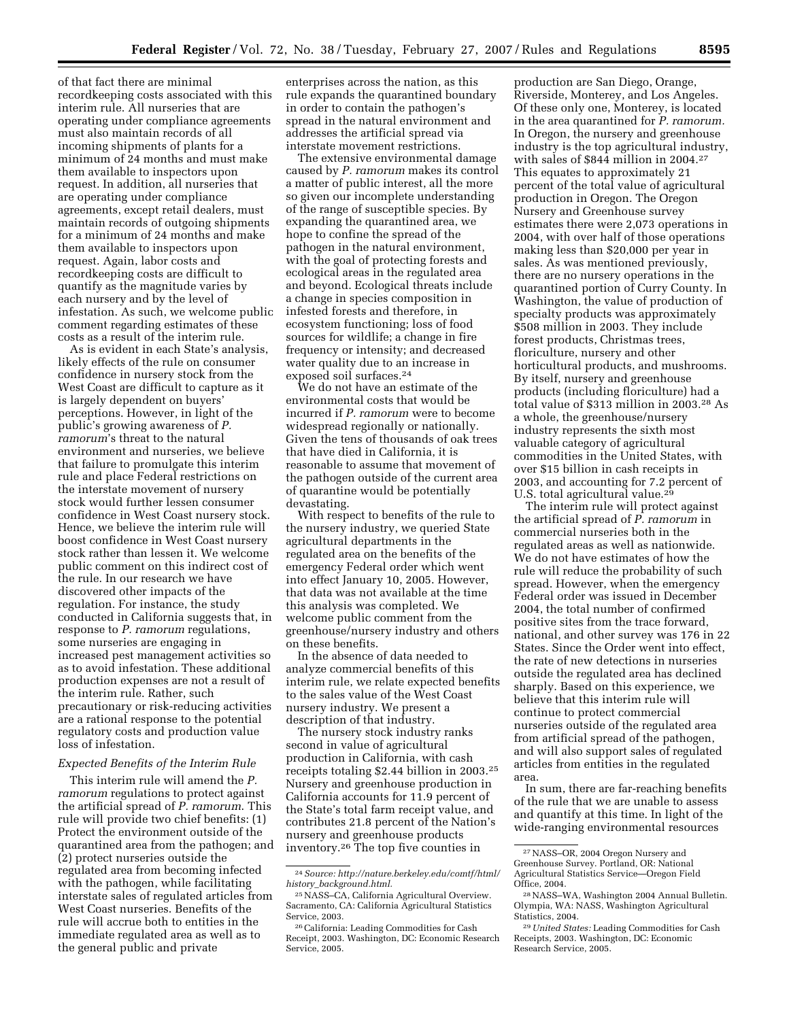of that fact there are minimal recordkeeping costs associated with this interim rule. All nurseries that are operating under compliance agreements must also maintain records of all incoming shipments of plants for a minimum of 24 months and must make them available to inspectors upon request. In addition, all nurseries that are operating under compliance agreements, except retail dealers, must maintain records of outgoing shipments for a minimum of 24 months and make them available to inspectors upon request. Again, labor costs and

recordkeeping costs are difficult to quantify as the magnitude varies by each nursery and by the level of infestation. As such, we welcome public comment regarding estimates of these costs as a result of the interim rule.

As is evident in each State's analysis, likely effects of the rule on consumer confidence in nursery stock from the West Coast are difficult to capture as it is largely dependent on buyers' perceptions. However, in light of the public's growing awareness of *P. ramorum*'s threat to the natural environment and nurseries, we believe that failure to promulgate this interim rule and place Federal restrictions on the interstate movement of nursery stock would further lessen consumer confidence in West Coast nursery stock. Hence, we believe the interim rule will boost confidence in West Coast nursery stock rather than lessen it. We welcome public comment on this indirect cost of the rule. In our research we have discovered other impacts of the regulation. For instance, the study conducted in California suggests that, in response to *P. ramorum* regulations, some nurseries are engaging in increased pest management activities so as to avoid infestation. These additional production expenses are not a result of the interim rule. Rather, such precautionary or risk-reducing activities are a rational response to the potential regulatory costs and production value loss of infestation.

## *Expected Benefits of the Interim Rule*

This interim rule will amend the *P. ramorum* regulations to protect against the artificial spread of *P. ramorum*. This rule will provide two chief benefits: (1) Protect the environment outside of the quarantined area from the pathogen; and (2) protect nurseries outside the regulated area from becoming infected with the pathogen, while facilitating interstate sales of regulated articles from West Coast nurseries. Benefits of the rule will accrue both to entities in the immediate regulated area as well as to the general public and private

enterprises across the nation, as this rule expands the quarantined boundary in order to contain the pathogen's spread in the natural environment and addresses the artificial spread via interstate movement restrictions.

The extensive environmental damage caused by *P. ramorum* makes its control a matter of public interest, all the more so given our incomplete understanding of the range of susceptible species. By expanding the quarantined area, we hope to confine the spread of the pathogen in the natural environment, with the goal of protecting forests and ecological areas in the regulated area and beyond. Ecological threats include a change in species composition in infested forests and therefore, in ecosystem functioning; loss of food sources for wildlife; a change in fire frequency or intensity; and decreased water quality due to an increase in exposed soil surfaces.24

We do not have an estimate of the environmental costs that would be incurred if *P. ramorum* were to become widespread regionally or nationally. Given the tens of thousands of oak trees that have died in California, it is reasonable to assume that movement of the pathogen outside of the current area of quarantine would be potentially devastating.

With respect to benefits of the rule to the nursery industry, we queried State agricultural departments in the regulated area on the benefits of the emergency Federal order which went into effect January 10, 2005. However, that data was not available at the time this analysis was completed. We welcome public comment from the greenhouse/nursery industry and others on these benefits.

In the absence of data needed to analyze commercial benefits of this interim rule, we relate expected benefits to the sales value of the West Coast nursery industry. We present a description of that industry.

The nursery stock industry ranks second in value of agricultural production in California, with cash receipts totaling \$2.44 billion in 2003.25 Nursery and greenhouse production in California accounts for 11.9 percent of the State's total farm receipt value, and contributes 21.8 percent of the Nation's nursery and greenhouse products inventory.26 The top five counties in

production are San Diego, Orange, Riverside, Monterey, and Los Angeles. Of these only one, Monterey, is located in the area quarantined for *P. ramorum.*  In Oregon, the nursery and greenhouse industry is the top agricultural industry, with sales of \$844 million in 2004.27 This equates to approximately 21 percent of the total value of agricultural production in Oregon. The Oregon Nursery and Greenhouse survey estimates there were 2,073 operations in 2004, with over half of those operations making less than \$20,000 per year in sales. As was mentioned previously, there are no nursery operations in the quarantined portion of Curry County. In Washington, the value of production of specialty products was approximately \$508 million in 2003. They include forest products, Christmas trees, floriculture, nursery and other horticultural products, and mushrooms. By itself, nursery and greenhouse products (including floriculture) had a total value of \$313 million in 2003.28 As a whole, the greenhouse/nursery industry represents the sixth most valuable category of agricultural commodities in the United States, with over \$15 billion in cash receipts in 2003, and accounting for 7.2 percent of U.S. total agricultural value.<sup>29</sup>

The interim rule will protect against the artificial spread of *P. ramorum* in commercial nurseries both in the regulated areas as well as nationwide. We do not have estimates of how the rule will reduce the probability of such spread. However, when the emergency Federal order was issued in December 2004, the total number of confirmed positive sites from the trace forward, national, and other survey was 176 in 22 States. Since the Order went into effect, the rate of new detections in nurseries outside the regulated area has declined sharply. Based on this experience, we believe that this interim rule will continue to protect commercial nurseries outside of the regulated area from artificial spread of the pathogen, and will also support sales of regulated articles from entities in the regulated area.

In sum, there are far-reaching benefits of the rule that we are unable to assess and quantify at this time. In light of the wide-ranging environmental resources

<sup>24</sup>*Source: http://nature.berkeley.edu/comtf/html/ history*\_*background.html.* 

<sup>25</sup>NASS–CA, California Agricultural Overview. Sacramento, CA: California Agricultural Statistics Service, 2003.

<sup>&</sup>lt;sup>26</sup> California: Leading Commodities for Cash Receipt, 2003. Washington, DC: Economic Research Service, 2005.

<sup>27</sup>NASS–OR, 2004 Oregon Nursery and Greenhouse Survey. Portland, OR: National Agricultural Statistics Service—Oregon Field Office, 2004.

<sup>28</sup>NASS–WA, Washington 2004 Annual Bulletin. Olympia, WA: NASS, Washington Agricultural Statistics, 2004.

<sup>29</sup>*United States:* Leading Commodities for Cash Receipts, 2003. Washington, DC: Economic Research Service, 2005.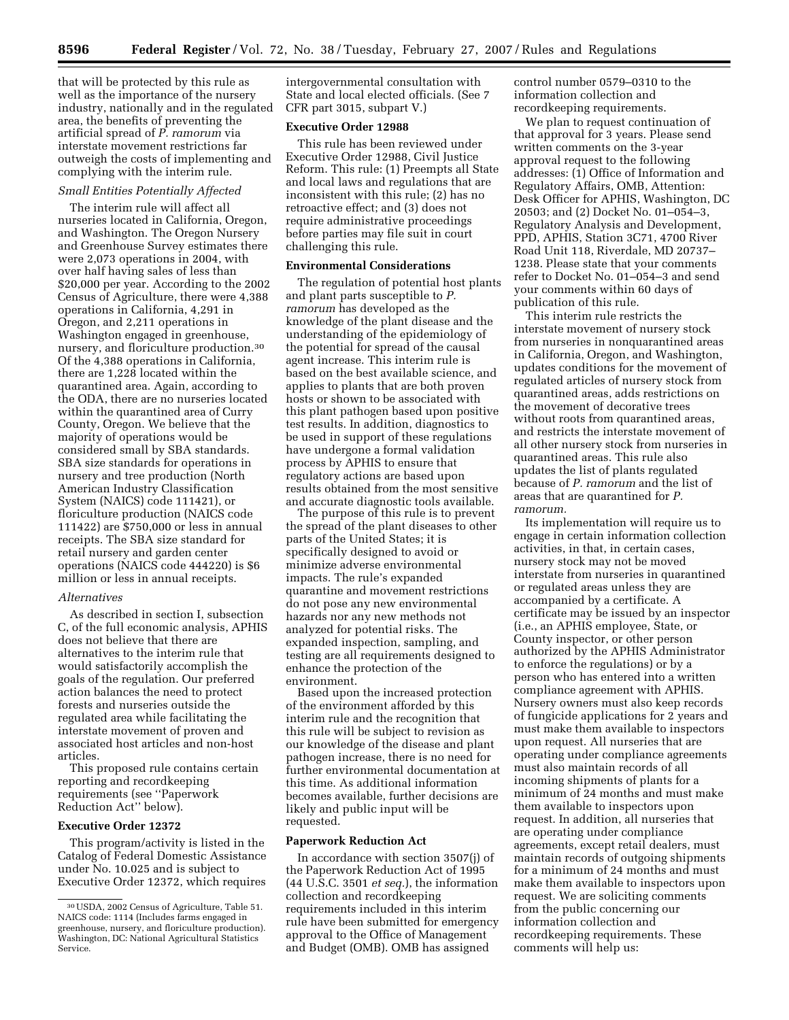that will be protected by this rule as well as the importance of the nursery industry, nationally and in the regulated area, the benefits of preventing the artificial spread of *P. ramorum* via interstate movement restrictions far outweigh the costs of implementing and complying with the interim rule.

## *Small Entities Potentially Affected*

The interim rule will affect all nurseries located in California, Oregon, and Washington. The Oregon Nursery and Greenhouse Survey estimates there were 2,073 operations in 2004, with over half having sales of less than \$20,000 per year. According to the 2002 Census of Agriculture, there were 4,388 operations in California, 4,291 in Oregon, and 2,211 operations in Washington engaged in greenhouse, nursery, and floriculture production.30 Of the 4,388 operations in California, there are 1,228 located within the quarantined area. Again, according to the ODA, there are no nurseries located within the quarantined area of Curry County, Oregon. We believe that the majority of operations would be considered small by SBA standards. SBA size standards for operations in nursery and tree production (North American Industry Classification System (NAICS) code 111421), or floriculture production (NAICS code 111422) are \$750,000 or less in annual receipts. The SBA size standard for retail nursery and garden center operations (NAICS code 444220) is \$6 million or less in annual receipts.

#### *Alternatives*

As described in section I, subsection C, of the full economic analysis, APHIS does not believe that there are alternatives to the interim rule that would satisfactorily accomplish the goals of the regulation. Our preferred action balances the need to protect forests and nurseries outside the regulated area while facilitating the interstate movement of proven and associated host articles and non-host articles.

This proposed rule contains certain reporting and recordkeeping requirements (see ''Paperwork Reduction Act'' below).

## **Executive Order 12372**

This program/activity is listed in the Catalog of Federal Domestic Assistance under No. 10.025 and is subject to Executive Order 12372, which requires

intergovernmental consultation with State and local elected officials. (See 7 CFR part 3015, subpart V.)

# **Executive Order 12988**

This rule has been reviewed under Executive Order 12988, Civil Justice Reform. This rule: (1) Preempts all State and local laws and regulations that are inconsistent with this rule; (2) has no retroactive effect; and (3) does not require administrative proceedings before parties may file suit in court challenging this rule.

#### **Environmental Considerations**

The regulation of potential host plants and plant parts susceptible to *P. ramorum* has developed as the knowledge of the plant disease and the understanding of the epidemiology of the potential for spread of the causal agent increase. This interim rule is based on the best available science, and applies to plants that are both proven hosts or shown to be associated with this plant pathogen based upon positive test results. In addition, diagnostics to be used in support of these regulations have undergone a formal validation process by APHIS to ensure that regulatory actions are based upon results obtained from the most sensitive and accurate diagnostic tools available.

The purpose of this rule is to prevent the spread of the plant diseases to other parts of the United States; it is specifically designed to avoid or minimize adverse environmental impacts. The rule's expanded quarantine and movement restrictions do not pose any new environmental hazards nor any new methods not analyzed for potential risks. The expanded inspection, sampling, and testing are all requirements designed to enhance the protection of the environment.

Based upon the increased protection of the environment afforded by this interim rule and the recognition that this rule will be subject to revision as our knowledge of the disease and plant pathogen increase, there is no need for further environmental documentation at this time. As additional information becomes available, further decisions are likely and public input will be requested.

#### **Paperwork Reduction Act**

In accordance with section 3507(j) of the Paperwork Reduction Act of 1995 (44 U.S.C. 3501 *et seq.*), the information collection and recordkeeping requirements included in this interim rule have been submitted for emergency approval to the Office of Management and Budget (OMB). OMB has assigned

control number 0579–0310 to the information collection and recordkeeping requirements.

We plan to request continuation of that approval for 3 years. Please send written comments on the 3-year approval request to the following addresses: (1) Office of Information and Regulatory Affairs, OMB, Attention: Desk Officer for APHIS, Washington, DC 20503; and (2) Docket No. 01–054–3, Regulatory Analysis and Development, PPD, APHIS, Station 3C71, 4700 River Road Unit 118, Riverdale, MD 20737– 1238. Please state that your comments refer to Docket No. 01–054–3 and send your comments within 60 days of publication of this rule.

This interim rule restricts the interstate movement of nursery stock from nurseries in nonquarantined areas in California, Oregon, and Washington, updates conditions for the movement of regulated articles of nursery stock from quarantined areas, adds restrictions on the movement of decorative trees without roots from quarantined areas, and restricts the interstate movement of all other nursery stock from nurseries in quarantined areas. This rule also updates the list of plants regulated because of *P. ramorum* and the list of areas that are quarantined for *P. ramorum.* 

Its implementation will require us to engage in certain information collection activities, in that, in certain cases, nursery stock may not be moved interstate from nurseries in quarantined or regulated areas unless they are accompanied by a certificate. A certificate may be issued by an inspector (i.e., an APHIS employee, State, or County inspector, or other person authorized by the APHIS Administrator to enforce the regulations) or by a person who has entered into a written compliance agreement with APHIS. Nursery owners must also keep records of fungicide applications for 2 years and must make them available to inspectors upon request. All nurseries that are operating under compliance agreements must also maintain records of all incoming shipments of plants for a minimum of 24 months and must make them available to inspectors upon request. In addition, all nurseries that are operating under compliance agreements, except retail dealers, must maintain records of outgoing shipments for a minimum of 24 months and must make them available to inspectors upon request. We are soliciting comments from the public concerning our information collection and recordkeeping requirements. These comments will help us:

<sup>30</sup>USDA, 2002 Census of Agriculture, Table 51. NAICS code: 1114 (Includes farms engaged in greenhouse, nursery, and floriculture production). Washington, DC: National Agricultural Statistics Service.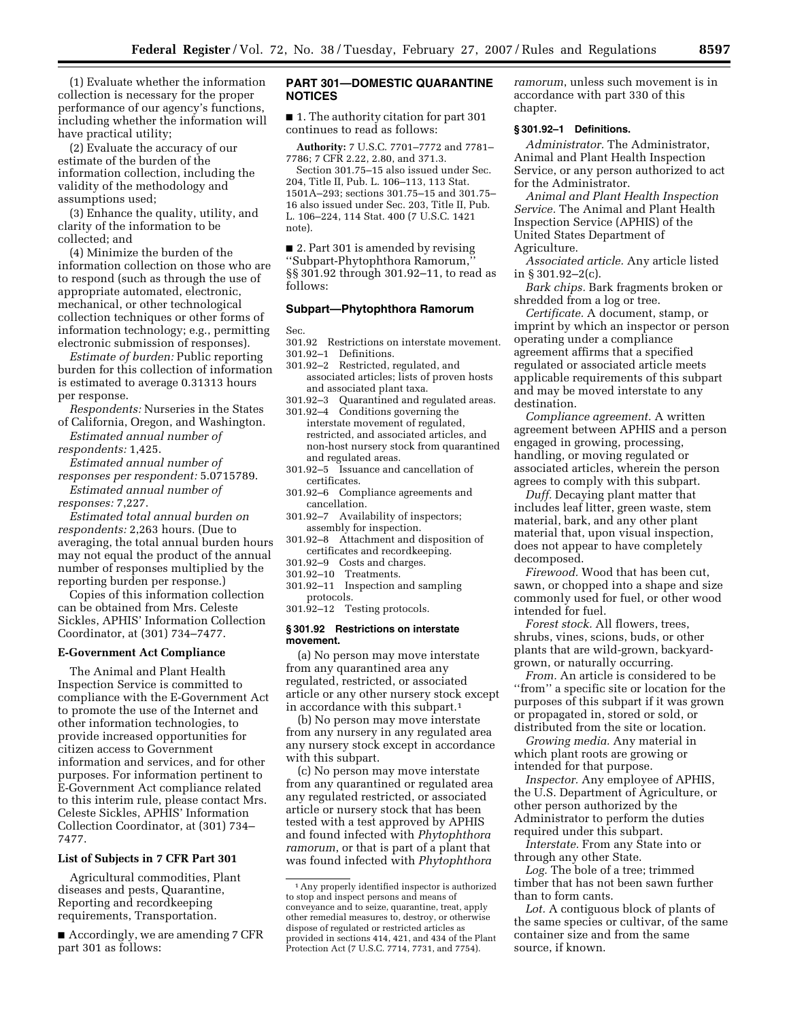(1) Evaluate whether the information collection is necessary for the proper performance of our agency's functions, including whether the information will have practical utility;

(2) Evaluate the accuracy of our estimate of the burden of the information collection, including the validity of the methodology and assumptions used;

(3) Enhance the quality, utility, and clarity of the information to be collected; and

(4) Minimize the burden of the information collection on those who are to respond (such as through the use of appropriate automated, electronic, mechanical, or other technological collection techniques or other forms of information technology; e.g., permitting electronic submission of responses).

*Estimate of burden:* Public reporting burden for this collection of information is estimated to average 0.31313 hours per response.

*Respondents:* Nurseries in the States of California, Oregon, and Washington.

*Estimated annual number of respondents:* 1,425.

*Estimated annual number of responses per respondent:* 5.0715789.

*Estimated annual number of* 

*responses:* 7,227.

*Estimated total annual burden on respondents:* 2,263 hours. (Due to averaging, the total annual burden hours may not equal the product of the annual number of responses multiplied by the reporting burden per response.)

Copies of this information collection can be obtained from Mrs. Celeste Sickles, APHIS' Information Collection Coordinator, at (301) 734–7477.

#### **E-Government Act Compliance**

The Animal and Plant Health Inspection Service is committed to compliance with the E-Government Act to promote the use of the Internet and other information technologies, to provide increased opportunities for citizen access to Government information and services, and for other purposes. For information pertinent to E-Government Act compliance related to this interim rule, please contact Mrs. Celeste Sickles, APHIS' Information Collection Coordinator, at (301) 734– 7477.

#### **List of Subjects in 7 CFR Part 301**

Agricultural commodities, Plant diseases and pests, Quarantine, Reporting and recordkeeping requirements, Transportation.

■ Accordingly, we are amending 7 CFR part 301 as follows:

# **PART 301—DOMESTIC QUARANTINE NOTICES**

■ 1. The authority citation for part 301 continues to read as follows:

**Authority:** 7 U.S.C. 7701–7772 and 7781– 7786; 7 CFR 2.22, 2.80, and 371.3.

Section 301.75–15 also issued under Sec. 204, Title II, Pub. L. 106–113, 113 Stat. 1501A–293; sections 301.75–15 and 301.75– 16 also issued under Sec. 203, Title II, Pub. L. 106–224, 114 Stat. 400 (7 U.S.C. 1421 note).

■ 2. Part 301 is amended by revising ''Subpart-Phytophthora Ramorum,'' §§ 301.92 through 301.92–11, to read as follows:

# **Subpart—Phytophthora Ramorum**

Sec.

- 301.92 Restrictions on interstate movement.
- 301.92–1 Definitions. 301.92–2 Restricted, regulated, and
- associated articles; lists of proven hosts and associated plant taxa.
- 301.92–3 Quarantined and regulated areas.
- 301.92–4 Conditions governing the interstate movement of regulated, restricted, and associated articles, and non-host nursery stock from quarantined and regulated areas.
- 301.92–5 Issuance and cancellation of certificates.
- 301.92–6 Compliance agreements and cancellation.
- 301.92–7 Availability of inspectors; assembly for inspection.
- 301.92–8 Attachment and disposition of certificates and recordkeeping.
- 301.92–9 Costs and charges.
- 301.92–10 Treatments.
- 301.92–11 Inspection and sampling protocols.
- 301.92–12 Testing protocols.

#### **§ 301.92 Restrictions on interstate movement.**

(a) No person may move interstate from any quarantined area any regulated, restricted, or associated article or any other nursery stock except in accordance with this subpart.1

(b) No person may move interstate from any nursery in any regulated area any nursery stock except in accordance with this subpart.

(c) No person may move interstate from any quarantined or regulated area any regulated restricted, or associated article or nursery stock that has been tested with a test approved by APHIS and found infected with *Phytophthora ramorum*, or that is part of a plant that was found infected with *Phytophthora* 

*ramorum*, unless such movement is in accordance with part 330 of this chapter.

#### **§ 301.92–1 Definitions.**

*Administrator.* The Administrator, Animal and Plant Health Inspection Service, or any person authorized to act for the Administrator.

*Animal and Plant Health Inspection Service.* The Animal and Plant Health Inspection Service (APHIS) of the United States Department of Agriculture.

*Associated article.* Any article listed in § 301.92–2(c).

*Bark chips.* Bark fragments broken or shredded from a log or tree.

*Certificate.* A document, stamp, or imprint by which an inspector or person operating under a compliance agreement affirms that a specified regulated or associated article meets applicable requirements of this subpart and may be moved interstate to any destination.

*Compliance agreement.* A written agreement between APHIS and a person engaged in growing, processing, handling, or moving regulated or associated articles, wherein the person agrees to comply with this subpart.

*Duff.* Decaying plant matter that includes leaf litter, green waste, stem material, bark, and any other plant material that, upon visual inspection, does not appear to have completely decomposed.

*Firewood.* Wood that has been cut, sawn, or chopped into a shape and size commonly used for fuel, or other wood intended for fuel.

*Forest stock.* All flowers, trees, shrubs, vines, scions, buds, or other plants that are wild-grown, backyardgrown, or naturally occurring.

*From.* An article is considered to be ''from'' a specific site or location for the purposes of this subpart if it was grown or propagated in, stored or sold, or distributed from the site or location.

*Growing media.* Any material in which plant roots are growing or intended for that purpose.

*Inspector.* Any employee of APHIS, the U.S. Department of Agriculture, or other person authorized by the Administrator to perform the duties required under this subpart.

*Interstate.* From any State into or through any other State.

*Log.* The bole of a tree; trimmed timber that has not been sawn further than to form cants.

*Lot.* A contiguous block of plants of the same species or cultivar, of the same container size and from the same source, if known.

<sup>1</sup>Any properly identified inspector is authorized to stop and inspect persons and means of conveyance and to seize, quarantine, treat, apply other remedial measures to, destroy, or otherwise dispose of regulated or restricted articles as provided in sections 414, 421, and 434 of the Plant Protection Act (7 U.S.C. 7714, 7731, and 7754).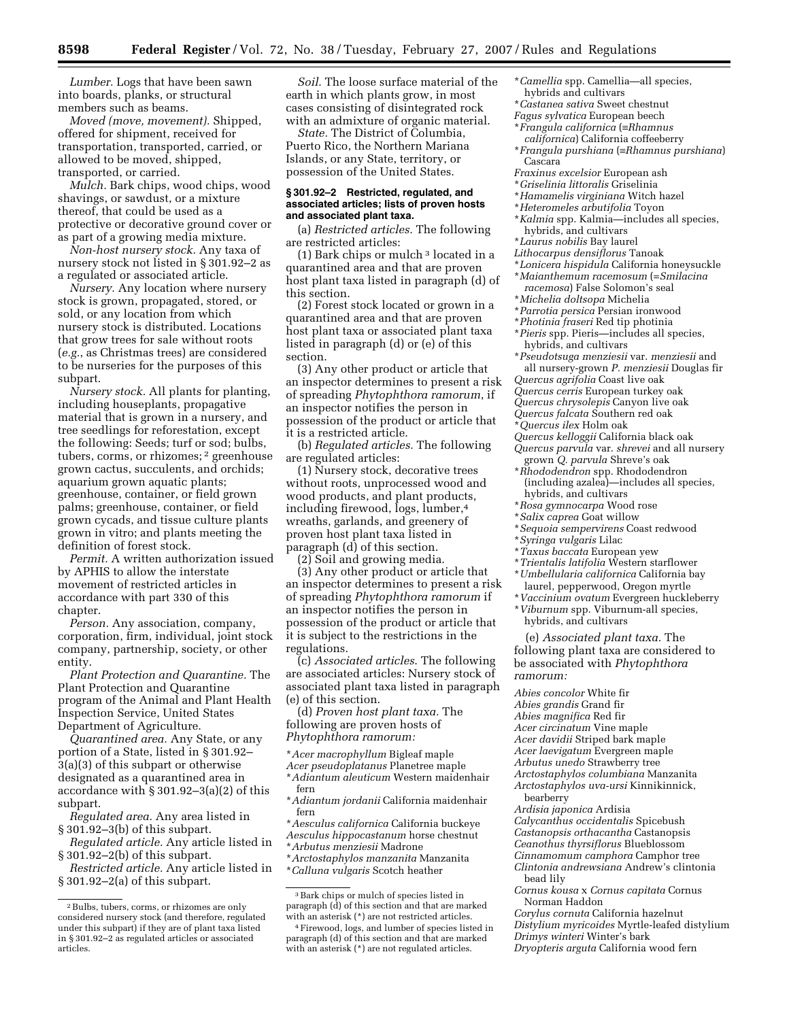*Lumber.* Logs that have been sawn into boards, planks, or structural members such as beams.

*Moved (move, movement).* Shipped, offered for shipment, received for transportation, transported, carried, or allowed to be moved, shipped, transported, or carried.

*Mulch.* Bark chips, wood chips, wood shavings, or sawdust, or a mixture thereof, that could be used as a protective or decorative ground cover or as part of a growing media mixture.

*Non-host nursery stock.* Any taxa of nursery stock not listed in § 301.92–2 as a regulated or associated article.

*Nursery.* Any location where nursery stock is grown, propagated, stored, or sold, or any location from which nursery stock is distributed. Locations that grow trees for sale without roots (*e.g.*, as Christmas trees) are considered to be nurseries for the purposes of this subpart.

*Nursery stock.* All plants for planting, including houseplants, propagative material that is grown in a nursery, and tree seedlings for reforestation, except the following: Seeds; turf or sod; bulbs, tubers, corms, or rhizomes; 2 greenhouse grown cactus, succulents, and orchids; aquarium grown aquatic plants; greenhouse, container, or field grown palms; greenhouse, container, or field grown cycads, and tissue culture plants grown in vitro; and plants meeting the definition of forest stock.

*Permit.* A written authorization issued by APHIS to allow the interstate movement of restricted articles in accordance with part 330 of this chapter.

*Person.* Any association, company, corporation, firm, individual, joint stock company, partnership, society, or other entity.

*Plant Protection and Quarantine.* The Plant Protection and Quarantine program of the Animal and Plant Health Inspection Service, United States Department of Agriculture.

*Quarantined area.* Any State, or any portion of a State, listed in § 301.92– 3(a)(3) of this subpart or otherwise designated as a quarantined area in accordance with § 301.92–3(a)(2) of this subpart.

*Regulated area.* Any area listed in § 301.92–3(b) of this subpart.

*Regulated article.* Any article listed in § 301.92–2(b) of this subpart.

*Restricted article.* Any article listed in § 301.92–2(a) of this subpart.

*Soil.* The loose surface material of the earth in which plants grow, in most cases consisting of disintegrated rock with an admixture of organic material.

*State.* The District of Columbia, Puerto Rico, the Northern Mariana Islands, or any State, territory, or possession of the United States.

#### **§ 301.92–2 Restricted, regulated, and associated articles; lists of proven hosts and associated plant taxa.**

(a) *Restricted articles.* The following are restricted articles:

(1) Bark chips or mulch 3 located in a quarantined area and that are proven host plant taxa listed in paragraph (d) of this section.

(2) Forest stock located or grown in a quarantined area and that are proven host plant taxa or associated plant taxa listed in paragraph (d) or (e) of this section.

(3) Any other product or article that an inspector determines to present a risk of spreading *Phytophthora ramorum*, if an inspector notifies the person in possession of the product or article that it is a restricted article.

(b) *Regulated articles.* The following are regulated articles:

(1) Nursery stock, decorative trees without roots, unprocessed wood and wood products, and plant products, including firewood, logs, lumber,4 wreaths, garlands, and greenery of proven host plant taxa listed in paragraph (d) of this section.

(2) Soil and growing media.

(3) Any other product or article that an inspector determines to present a risk of spreading *Phytophthora ramorum* if an inspector notifies the person in possession of the product or article that it is subject to the restrictions in the regulations.

(c) *Associated articles*. The following are associated articles: Nursery stock of associated plant taxa listed in paragraph (e) of this section.

(d) *Proven host plant taxa.* The following are proven hosts of *Phytophthora ramorum:* 

\**Acer macrophyllum* Bigleaf maple *Acer pseudoplatanus* Planetree maple \**Adiantum aleuticum* Western maidenhair fern

- \**Adiantum jordanii* California maidenhair fern
- \**Aesculus californica* California buckeye *Aesculus hippocastanum* horse chestnut \**Arbutus menziesii* Madrone

\**Arctostaphylos manzanita* Manzanita \**Calluna vulgaris* Scotch heather

- \**Camellia* spp. Camellia—all species,
- hybrids and cultivars \**Castanea sativa* Sweet chestnut
- *Fagus sylvatica* European beech
- \**Frangula californica* (≡*Rhamnus*
- *californica*) California coffeeberry
- \**Frangula purshiana* (≡*Rhamnus purshiana*) Cascara
- *Fraxinus excelsior* European ash
- \**Griselinia littoralis* Griselinia
- \**Hamamelis virginiana* Witch hazel
- \**Heteromeles arbutifolia* Toyon
- \**Kalmia* spp. Kalmia—includes all species, hybrids, and cultivars
- \**Laurus nobilis* Bay laurel
- *Lithocarpus densiflorus* Tanoak
- \**Lonicera hispidula* California honeysuckle \**Maianthemum racemosum* (=*Smilacina*
- *racemosa*) False Solomon's seal
- \**Michelia doltsopa* Michelia
- \**Parrotia persica* Persian ironwood
- \**Photinia fraseri* Red tip photinia
- \**Pieris* spp. Pieris—includes all species,
- hybrids, and cultivars
- \**Pseudotsuga menziesii* var. *menziesii* and all nursery-grown *P. menziesii* Douglas fir
- *Quercus agrifolia* Coast live oak
- *Quercus cerris* European turkey oak
- *Quercus chrysolepis* Canyon live oak
- *Quercus falcata* Southern red oak
- \**Quercus ilex* Holm oak
- *Quercus kelloggii* California black oak
- *Quercus parvula* var. *shrevei* and all nursery grown *Q. parvula* Shreve's oak
- \**Rhododendron* spp. Rhododendron (including azalea)—includes all species, hybrids, and cultivars
- \**Rosa gymnocarpa* Wood rose
- \**Salix caprea* Goat willow
- \**Sequoia sempervirens* Coast redwood
- \**Syringa vulgaris* Lilac
- \**Taxus baccata* European yew
- \**Trientalis latifolia* Western starflower \**Umbellularia californica* California bay
- laurel, pepperwood, Oregon myrtle
- \**Vaccinium ovatum* Evergreen huckleberry
- \**Viburnum* spp. Viburnum-all species, hybrids, and cultivars

(e) *Associated plant taxa.* The following plant taxa are considered to be associated with *Phytophthora ramorum:* 

*Abies concolor* White fir

*Abies grandis* Grand fir

*Abies magnifica* Red fir

- *Acer circinatum* Vine maple
- *Acer davidii* Striped bark maple
- *Acer laevigatum* Evergreen maple
- *Arbutus unedo* Strawberry tree
- *Arctostaphylos columbiana* Manzanita
- *Arctostaphylos uva-ursi* Kinnikinnick,
- bearberry
- *Ardisia japonica* Ardisia

*Calycanthus occidentalis* Spicebush

- *Castanopsis orthacantha* Castanopsis
- *Ceanothus thyrsiflorus* Blueblossom

*Cinnamomum camphora* Camphor tree *Clintonia andrewsiana* Andrew's clintonia bead lily

*Cornus kousa* x *Cornus capitata* Cornus Norman Haddon

*Corylus cornuta* California hazelnut *Distylium myricoides* Myrtle-leafed distylium *Drimys winteri* Winter's bark *Dryopteris arguta* California wood fern

<sup>2</sup>Bulbs, tubers, corms, or rhizomes are only considered nursery stock (and therefore, regulated under this subpart) if they are of plant taxa listed in § 301.92–2 as regulated articles or associated articles.

<sup>3</sup>Bark chips or mulch of species listed in paragraph (d) of this section and that are marked with an asterisk (\*) are not restricted articles.

<sup>4</sup>Firewood, logs, and lumber of species listed in paragraph (d) of this section and that are marked with an asterisk (\*) are not regulated articles.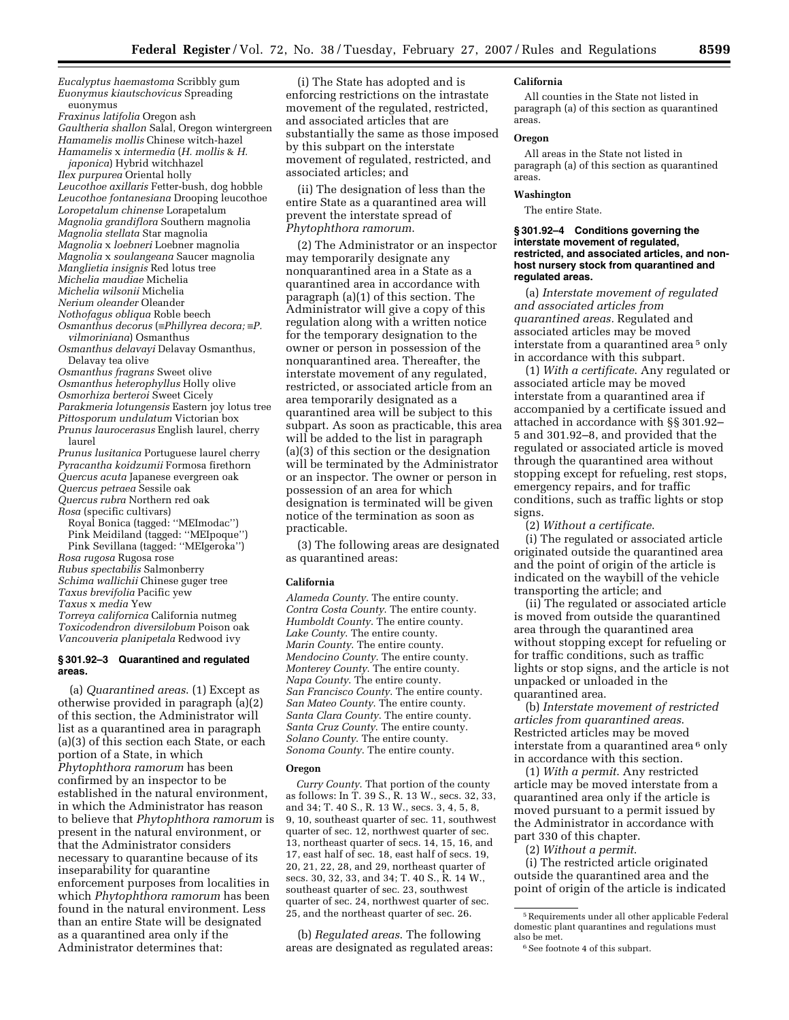*Eucalyptus haemastoma* Scribbly gum *Euonymus kiautschovicus* Spreading euonymus

*Fraxinus latifolia* Oregon ash *Gaultheria shallon* Salal, Oregon wintergreen *Hamamelis mollis* Chinese witch-hazel *Hamamelis* x *intermedia* (*H. mollis* & *H.* 

*japonica*) Hybrid witchhazel *Ilex purpurea* Oriental holly *Leucothoe axillaris* Fetter-bush, dog hobble *Leucothoe fontanesiana* Drooping leucothoe *Loropetalum chinense* Lorapetalum *Magnolia grandiflora* Southern magnolia *Magnolia stellata* Star magnolia *Magnolia* x *loebneri* Loebner magnolia *Magnolia* x *soulangeana* Saucer magnolia *Manglietia insignis* Red lotus tree *Michelia maudiae* Michelia *Michelia wilsonii* Michelia *Nerium oleander* Oleander *Nothofagus obliqua* Roble beech *Osmanthus decorus* (≡*Phillyrea decora;* ≡*P. vilmoriniana*) Osmanthus

*Osmanthus delavayi* Delavay Osmanthus, Delavay tea olive

*Osmanthus fragrans* Sweet olive *Osmanthus heterophyllus* Holly olive *Osmorhiza berteroi* Sweet Cicely *Parakmeria lotungensis* Eastern joy lotus tree *Pittosporum undulatum* Victorian box *Prunus laurocerasus* English laurel, cherry laurel

*Prunus lusitanica* Portuguese laurel cherry *Pyracantha koidzumii* Formosa firethorn *Quercus acuta* Japanese evergreen oak *Quercus petraea* Sessile oak *Quercus rubra* Northern red oak *Rosa* (specific cultivars) Royal Bonica (tagged: ''MEImodac'')

Pink Meidiland (tagged: ''MEIpoque'') Pink Sevillana (tagged: ''MEIgeroka'') *Rosa rugosa* Rugosa rose *Rubus spectabilis* Salmonberry *Schima wallichii* Chinese guger tree *Taxus brevifolia* Pacific yew *Taxus* x *media* Yew *Torreya californica* California nutmeg *Toxicodendron diversilobum* Poison oak

*Vancouveria planipetala* Redwood ivy **§ 301.92–3 Quarantined and regulated areas.** 

(a) *Quarantined areas*. (1) Except as otherwise provided in paragraph (a)(2) of this section, the Administrator will list as a quarantined area in paragraph (a)(3) of this section each State, or each portion of a State, in which *Phytophthora ramorum* has been confirmed by an inspector to be established in the natural environment, in which the Administrator has reason to believe that *Phytophthora ramorum* is present in the natural environment, or that the Administrator considers necessary to quarantine because of its inseparability for quarantine enforcement purposes from localities in which *Phytophthora ramorum* has been found in the natural environment. Less than an entire State will be designated as a quarantined area only if the Administrator determines that:

(i) The State has adopted and is enforcing restrictions on the intrastate movement of the regulated, restricted, and associated articles that are substantially the same as those imposed by this subpart on the interstate movement of regulated, restricted, and associated articles; and

(ii) The designation of less than the entire State as a quarantined area will prevent the interstate spread of *Phytophthora ramorum*.

(2) The Administrator or an inspector may temporarily designate any nonquarantined area in a State as a quarantined area in accordance with paragraph (a)(1) of this section. The Administrator will give a copy of this regulation along with a written notice for the temporary designation to the owner or person in possession of the nonquarantined area. Thereafter, the interstate movement of any regulated, restricted, or associated article from an area temporarily designated as a quarantined area will be subject to this subpart. As soon as practicable, this area will be added to the list in paragraph (a)(3) of this section or the designation will be terminated by the Administrator or an inspector. The owner or person in possession of an area for which designation is terminated will be given notice of the termination as soon as practicable.

(3) The following areas are designated as quarantined areas:

#### **California**

*Alameda County*. The entire county. *Contra Costa County*. The entire county. *Humboldt County*. The entire county. *Lake County*. The entire county. *Marin County*. The entire county. *Mendocino County*. The entire county. *Monterey County*. The entire county. *Napa County*. The entire county. *San Francisco County*. The entire county. *San Mateo County*. The entire county. *Santa Clara County*. The entire county. *Santa Cruz County*. The entire county. *Solano County*. The entire county. *Sonoma County*. The entire county.

#### **Oregon**

*Curry County*. That portion of the county as follows: In T. 39 S., R. 13 W., secs. 32, 33, and 34; T. 40 S., R. 13 W., secs. 3, 4, 5, 8, 9, 10, southeast quarter of sec. 11, southwest quarter of sec. 12, northwest quarter of sec. 13, northeast quarter of secs. 14, 15, 16, and 17, east half of sec. 18, east half of secs. 19, 20, 21, 22, 28, and 29, northeast quarter of secs. 30, 32, 33, and 34; T. 40 S., R. 14 W., southeast quarter of sec. 23, southwest quarter of sec. 24, northwest quarter of sec. 25, and the northeast quarter of sec. 26.

(b) *Regulated areas*. The following areas are designated as regulated areas:

#### **California**

All counties in the State not listed in paragraph (a) of this section as quarantined areas.

#### **Oregon**

All areas in the State not listed in paragraph (a) of this section as quarantined areas.

#### **Washington**

The entire State.

#### **§ 301.92–4 Conditions governing the interstate movement of regulated, restricted, and associated articles, and nonhost nursery stock from quarantined and regulated areas.**

(a) *Interstate movement of regulated and associated articles from quarantined areas.* Regulated and associated articles may be moved interstate from a quarantined area 5 only in accordance with this subpart.

(1) *With a certificate*. Any regulated or associated article may be moved interstate from a quarantined area if accompanied by a certificate issued and attached in accordance with §§ 301.92– 5 and 301.92–8, and provided that the regulated or associated article is moved through the quarantined area without stopping except for refueling, rest stops, emergency repairs, and for traffic conditions, such as traffic lights or stop signs.

(2) *Without a certificate*.

(i) The regulated or associated article originated outside the quarantined area and the point of origin of the article is indicated on the waybill of the vehicle transporting the article; and

(ii) The regulated or associated article is moved from outside the quarantined area through the quarantined area without stopping except for refueling or for traffic conditions, such as traffic lights or stop signs, and the article is not unpacked or unloaded in the quarantined area.

(b) *Interstate movement of restricted articles from quarantined areas*. Restricted articles may be moved interstate from a quarantined area 6 only in accordance with this section.

(1) *With a permit*. Any restricted article may be moved interstate from a quarantined area only if the article is moved pursuant to a permit issued by the Administrator in accordance with part 330 of this chapter.

(2) *Without a permit*.

(i) The restricted article originated outside the quarantined area and the point of origin of the article is indicated

<sup>5</sup>Requirements under all other applicable Federal domestic plant quarantines and regulations must also be met.

<sup>6</sup>See footnote 4 of this subpart.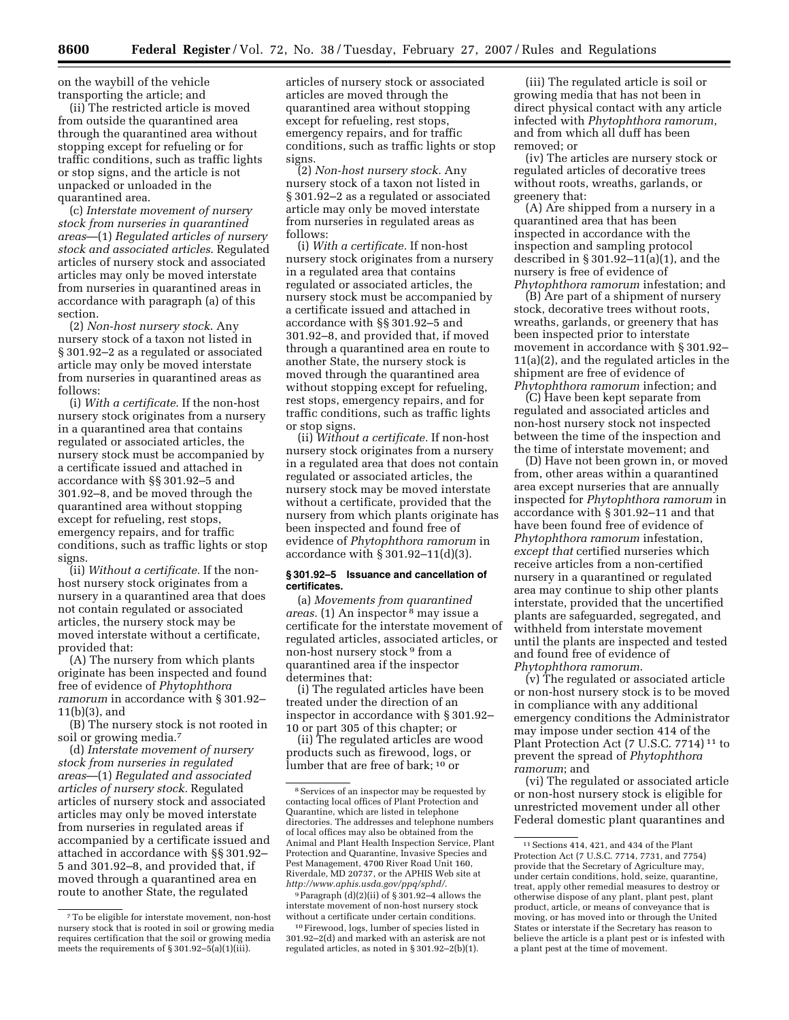on the waybill of the vehicle transporting the article; and

(ii) The restricted article is moved from outside the quarantined area through the quarantined area without stopping except for refueling or for traffic conditions, such as traffic lights or stop signs, and the article is not unpacked or unloaded in the quarantined area.

(c) *Interstate movement of nursery stock from nurseries in quarantined areas*—(1) *Regulated articles of nursery stock and associated articles*. Regulated articles of nursery stock and associated articles may only be moved interstate from nurseries in quarantined areas in accordance with paragraph (a) of this section.

(2) *Non-host nursery stock*. Any nursery stock of a taxon not listed in § 301.92–2 as a regulated or associated article may only be moved interstate from nurseries in quarantined areas as follows:

(i) *With a certificate*. If the non-host nursery stock originates from a nursery in a quarantined area that contains regulated or associated articles, the nursery stock must be accompanied by a certificate issued and attached in accordance with §§ 301.92–5 and 301.92–8, and be moved through the quarantined area without stopping except for refueling, rest stops, emergency repairs, and for traffic conditions, such as traffic lights or stop signs.

(ii) *Without a certificate.* If the nonhost nursery stock originates from a nursery in a quarantined area that does not contain regulated or associated articles, the nursery stock may be moved interstate without a certificate, provided that:

(A) The nursery from which plants originate has been inspected and found free of evidence of *Phytophthora ramorum* in accordance with § 301.92– 11(b)(3), and

(B) The nursery stock is not rooted in soil or growing media.<sup>7</sup>

(d) *Interstate movement of nursery stock from nurseries in regulated areas*—(1) *Regulated and associated articles of nursery stock.* Regulated articles of nursery stock and associated articles may only be moved interstate from nurseries in regulated areas if accompanied by a certificate issued and attached in accordance with §§ 301.92– 5 and 301.92–8, and provided that, if moved through a quarantined area en route to another State, the regulated

articles of nursery stock or associated articles are moved through the quarantined area without stopping except for refueling, rest stops, emergency repairs, and for traffic conditions, such as traffic lights or stop signs.

(2) *Non-host nursery stock.* Any nursery stock of a taxon not listed in § 301.92–2 as a regulated or associated article may only be moved interstate from nurseries in regulated areas as follows:

(i) *With a certificate.* If non-host nursery stock originates from a nursery in a regulated area that contains regulated or associated articles, the nursery stock must be accompanied by a certificate issued and attached in accordance with §§ 301.92–5 and 301.92–8, and provided that, if moved through a quarantined area en route to another State, the nursery stock is moved through the quarantined area without stopping except for refueling, rest stops, emergency repairs, and for traffic conditions, such as traffic lights or stop signs.

(ii) *Without a certificate.* If non-host nursery stock originates from a nursery in a regulated area that does not contain regulated or associated articles, the nursery stock may be moved interstate without a certificate, provided that the nursery from which plants originate has been inspected and found free of evidence of *Phytophthora ramorum* in accordance with § 301.92–11(d)(3).

#### **§ 301.92–5 Issuance and cancellation of certificates.**

(a) *Movements from quarantined areas.* (1) An inspector 8 may issue a certificate for the interstate movement of regulated articles, associated articles, or non-host nursery stock 9 from a quarantined area if the inspector determines that:

(i) The regulated articles have been treated under the direction of an inspector in accordance with § 301.92– 10 or part 305 of this chapter; or

(ii) The regulated articles are wood products such as firewood, logs, or lumber that are free of bark; 10 or

9Paragraph (d)(2)(ii) of § 301.92–4 allows the interstate movement of non-host nursery stock without a certificate under certain conditions.

10Firewood, logs, lumber of species listed in 301.92–2(d) and marked with an asterisk are not regulated articles, as noted in § 301.92–2(b)(1).

(iii) The regulated article is soil or growing media that has not been in direct physical contact with any article infected with *Phytophthora ramorum*, and from which all duff has been removed; or

(iv) The articles are nursery stock or regulated articles of decorative trees without roots, wreaths, garlands, or greenery that:

(A) Are shipped from a nursery in a quarantined area that has been inspected in accordance with the inspection and sampling protocol described in § 301.92–11(a)(1), and the nursery is free of evidence of *Phytophthora ramorum* infestation; and

(B) Are part of a shipment of nursery stock, decorative trees without roots, wreaths, garlands, or greenery that has been inspected prior to interstate movement in accordance with § 301.92– 11(a)(2), and the regulated articles in the shipment are free of evidence of *Phytophthora ramorum* infection; and

(C) Have been kept separate from regulated and associated articles and non-host nursery stock not inspected between the time of the inspection and the time of interstate movement; and

(D) Have not been grown in, or moved from, other areas within a quarantined area except nurseries that are annually inspected for *Phytophthora ramorum* in accordance with § 301.92–11 and that have been found free of evidence of *Phytophthora ramorum* infestation, *except that* certified nurseries which receive articles from a non-certified nursery in a quarantined or regulated area may continue to ship other plants interstate, provided that the uncertified plants are safeguarded, segregated, and withheld from interstate movement until the plants are inspected and tested and found free of evidence of *Phytophthora ramorum*.

(v) The regulated or associated article or non-host nursery stock is to be moved in compliance with any additional emergency conditions the Administrator may impose under section 414 of the Plant Protection Act (7 U.S.C. 7714) 11 to prevent the spread of *Phytophthora ramorum*; and

(vi) The regulated or associated article or non-host nursery stock is eligible for unrestricted movement under all other Federal domestic plant quarantines and

<sup>7</sup>To be eligible for interstate movement, non-host nursery stock that is rooted in soil or growing media requires certification that the soil or growing media meets the requirements of  $\S 301.92 - 5(a)(1)(iii)$ .

<sup>8</sup>Services of an inspector may be requested by contacting local offices of Plant Protection and Quarantine, which are listed in telephone directories. The addresses and telephone numbers of local offices may also be obtained from the Animal and Plant Health Inspection Service, Plant Protection and Quarantine, Invasive Species and Pest Management, 4700 River Road Unit 160, Riverdale, MD 20737, or the APHIS Web site at *http://www.aphis.usda.gov/ppq/sphd/*.

<sup>11</sup>Sections 414, 421, and 434 of the Plant Protection Act (7 U.S.C. 7714, 7731, and 7754) provide that the Secretary of Agriculture may, under certain conditions, hold, seize, quarantine, treat, apply other remedial measures to destroy or otherwise dispose of any plant, plant pest, plant product, article, or means of conveyance that is moving, or has moved into or through the United States or interstate if the Secretary has reason to believe the article is a plant pest or is infested with a plant pest at the time of movement.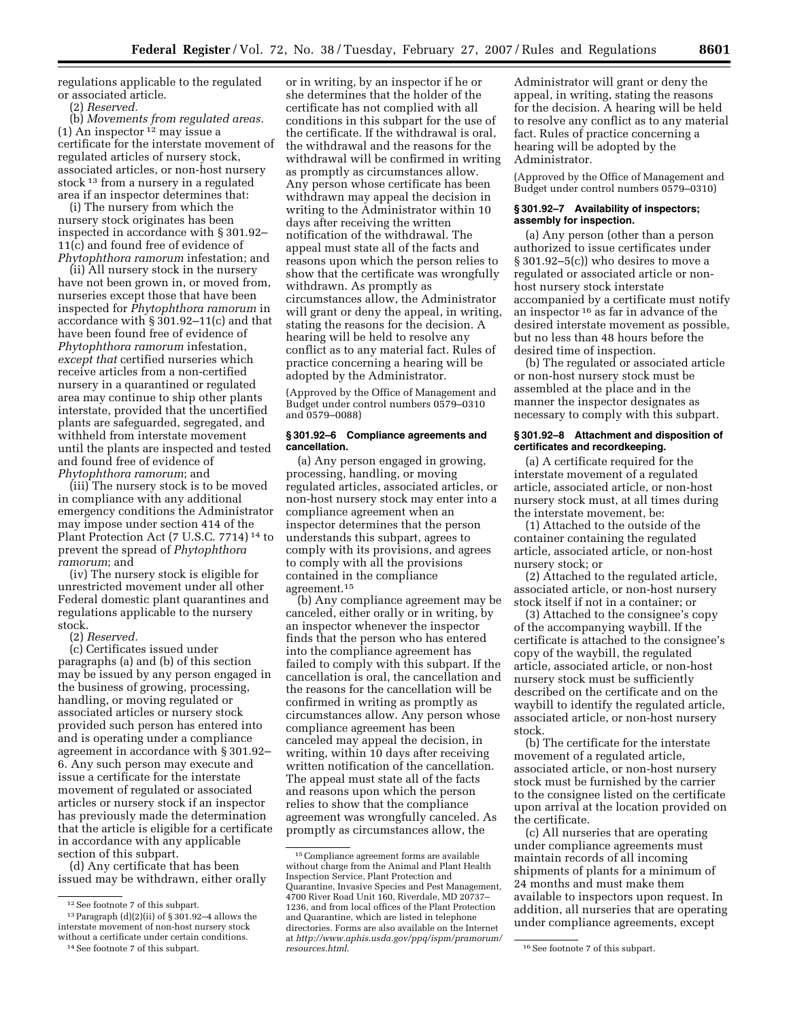regulations applicable to the regulated or associated article.

(2) *Reserved.* 

(b) *Movements from regulated areas.*   $(1)$  An inspector <sup>12</sup> may issue a certificate for the interstate movement of regulated articles of nursery stock, associated articles, or non-host nursery stock 13 from a nursery in a regulated area if an inspector determines that:

(i) The nursery from which the nursery stock originates has been inspected in accordance with § 301.92– 11(c) and found free of evidence of *Phytophthora ramorum* infestation; and

(ii) All nursery stock in the nursery have not been grown in, or moved from, nurseries except those that have been inspected for *Phytophthora ramorum* in accordance with § 301.92–11(c) and that have been found free of evidence of *Phytophthora ramorum* infestation, *except that* certified nurseries which receive articles from a non-certified nursery in a quarantined or regulated area may continue to ship other plants interstate, provided that the uncertified plants are safeguarded, segregated, and withheld from interstate movement until the plants are inspected and tested and found free of evidence of *Phytophthora ramorum*; and

(iii) The nursery stock is to be moved in compliance with any additional emergency conditions the Administrator may impose under section 414 of the Plant Protection Act (7 U.S.C. 7714) 14 to prevent the spread of *Phytophthora ramorum*; and

(iv) The nursery stock is eligible for unrestricted movement under all other Federal domestic plant quarantines and regulations applicable to the nursery stock.

(2) *Reserved.* 

(c) Certificates issued under paragraphs (a) and (b) of this section may be issued by any person engaged in the business of growing, processing, handling, or moving regulated or associated articles or nursery stock provided such person has entered into and is operating under a compliance agreement in accordance with § 301.92– 6. Any such person may execute and issue a certificate for the interstate movement of regulated or associated articles or nursery stock if an inspector has previously made the determination that the article is eligible for a certificate in accordance with any applicable section of this subpart.

(d) Any certificate that has been issued may be withdrawn, either orally

or in writing, by an inspector if he or she determines that the holder of the certificate has not complied with all conditions in this subpart for the use of the certificate. If the withdrawal is oral, the withdrawal and the reasons for the withdrawal will be confirmed in writing as promptly as circumstances allow. Any person whose certificate has been withdrawn may appeal the decision in writing to the Administrator within 10 days after receiving the written notification of the withdrawal. The appeal must state all of the facts and reasons upon which the person relies to show that the certificate was wrongfully withdrawn. As promptly as circumstances allow, the Administrator will grant or deny the appeal, in writing, stating the reasons for the decision. A hearing will be held to resolve any conflict as to any material fact. Rules of practice concerning a hearing will be adopted by the Administrator.

(Approved by the Office of Management and Budget under control numbers 0579–0310 and 0579–0088)

## **§ 301.92–6 Compliance agreements and cancellation.**

(a) Any person engaged in growing, processing, handling, or moving regulated articles, associated articles, or non-host nursery stock may enter into a compliance agreement when an inspector determines that the person understands this subpart, agrees to comply with its provisions, and agrees to comply with all the provisions contained in the compliance agreement.15

(b) Any compliance agreement may be canceled, either orally or in writing, by an inspector whenever the inspector finds that the person who has entered into the compliance agreement has failed to comply with this subpart. If the cancellation is oral, the cancellation and the reasons for the cancellation will be confirmed in writing as promptly as circumstances allow. Any person whose compliance agreement has been canceled may appeal the decision, in writing, within 10 days after receiving written notification of the cancellation. The appeal must state all of the facts and reasons upon which the person relies to show that the compliance agreement was wrongfully canceled. As promptly as circumstances allow, the

Administrator will grant or deny the appeal, in writing, stating the reasons for the decision. A hearing will be held to resolve any conflict as to any material fact. Rules of practice concerning a hearing will be adopted by the Administrator.

(Approved by the Office of Management and Budget under control numbers 0579–0310)

# **§ 301.92–7 Availability of inspectors; assembly for inspection.**

(a) Any person (other than a person authorized to issue certificates under § 301.92–5(c)) who desires to move a regulated or associated article or nonhost nursery stock interstate accompanied by a certificate must notify an inspector 16 as far in advance of the desired interstate movement as possible, but no less than 48 hours before the desired time of inspection.

(b) The regulated or associated article or non-host nursery stock must be assembled at the place and in the manner the inspector designates as necessary to comply with this subpart.

## **§ 301.92–8 Attachment and disposition of certificates and recordkeeping.**

(a) A certificate required for the interstate movement of a regulated article, associated article, or non-host nursery stock must, at all times during the interstate movement, be:

(1) Attached to the outside of the container containing the regulated article, associated article, or non-host nursery stock; or

(2) Attached to the regulated article, associated article, or non-host nursery stock itself if not in a container; or

(3) Attached to the consignee's copy of the accompanying waybill. If the certificate is attached to the consignee's copy of the waybill, the regulated article, associated article, or non-host nursery stock must be sufficiently described on the certificate and on the waybill to identify the regulated article, associated article, or non-host nursery stock.

(b) The certificate for the interstate movement of a regulated article, associated article, or non-host nursery stock must be furnished by the carrier to the consignee listed on the certificate upon arrival at the location provided on the certificate.

(c) All nurseries that are operating under compliance agreements must maintain records of all incoming shipments of plants for a minimum of 24 months and must make them available to inspectors upon request. In addition, all nurseries that are operating under compliance agreements, except

<sup>12</sup>See footnote 7 of this subpart.

<sup>13</sup>Paragraph (d)(2)(ii) of § 301.92–4 allows the interstate movement of non-host nursery stock without a certificate under certain conditions.

<sup>14</sup>See footnote 7 of this subpart.

<sup>15</sup>Compliance agreement forms are available without charge from the Animal and Plant Health Inspection Service, Plant Protection and Quarantine, Invasive Species and Pest Management, 4700 River Road Unit 160, Riverdale, MD 20737– 1236, and from local offices of the Plant Protection and Quarantine, which are listed in telephone directories. Forms are also available on the Internet at *http://www.aphis.usda.gov/ppq/ispm/pramorum/* 

<sup>&</sup>lt;sup>16</sup> See footnote 7 of this subpart.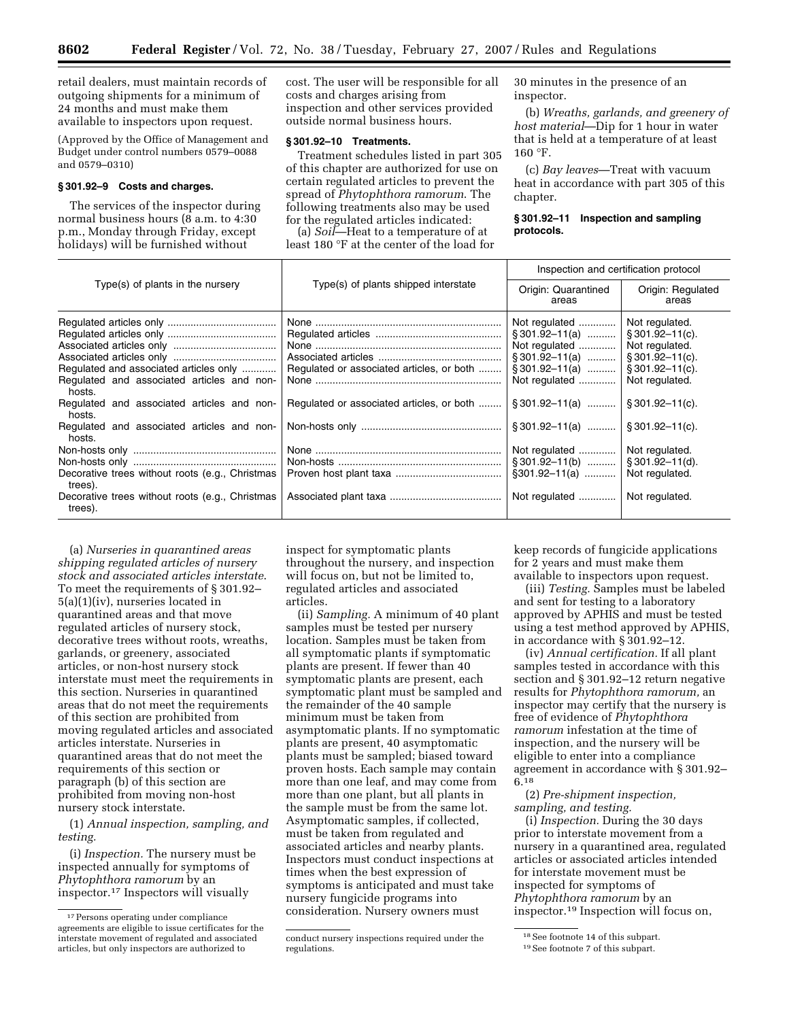retail dealers, must maintain records of outgoing shipments for a minimum of 24 months and must make them available to inspectors upon request.

(Approved by the Office of Management and Budget under control numbers 0579–0088 and 0579–0310)

#### **§ 301.92–9 Costs and charges.**

The services of the inspector during normal business hours  $(8$  a.m. to  $4:30$ p.m., Monday through Friday, except holidays) will be furnished without

cost. The user will be responsible for all costs and charges arising from inspection and other services provided outside normal business hours.

## **§ 301.92–10 Treatments.**

Treatment schedules listed in part 305 of this chapter are authorized for use on certain regulated articles to prevent the spread of *Phytophthora ramorum*. The following treatments also may be used for the regulated articles indicated:

(a) *Soil*—Heat to a temperature of at least 180 °F at the center of the load for 30 minutes in the presence of an inspector.

(b) *Wreaths, garlands, and greenery of host material*—Dip for 1 hour in water that is held at a temperature of at least 160 °F.

(c) *Bay leaves*—Treat with vacuum heat in accordance with part 305 of this chapter.

# **§ 301.92–11 Inspection and sampling protocols.**

| Type(s) of plants in the nursery                                                                                                                                                                                                                                                                                                | Type(s) of plants shipped interstate                                                   | Inspection and certification protocol                                                                                                                                                                                                    |                                                                                                                                                                                                                                             |
|---------------------------------------------------------------------------------------------------------------------------------------------------------------------------------------------------------------------------------------------------------------------------------------------------------------------------------|----------------------------------------------------------------------------------------|------------------------------------------------------------------------------------------------------------------------------------------------------------------------------------------------------------------------------------------|---------------------------------------------------------------------------------------------------------------------------------------------------------------------------------------------------------------------------------------------|
|                                                                                                                                                                                                                                                                                                                                 |                                                                                        | Origin: Quarantined<br>areas                                                                                                                                                                                                             | Origin: Regulated<br>areas                                                                                                                                                                                                                  |
| Regulated and associated articles only<br>Regulated and associated articles and non-<br>hosts.<br>Regulated and associated articles and non-<br>hosts.<br>Regulated and associated articles and non-<br>hosts.<br>Decorative trees without roots (e.g., Christmas<br>trees).<br>Decorative trees without roots (e.g., Christmas | Regulated or associated articles, or both<br>Regulated or associated articles, or both | Not regulated<br>$§ 301.92 - 11(a)$<br>Not regulated<br>$§ 301.92 - 11(a)$<br>$$301.92 - 11(a)$<br>Not regulated<br>$§ 301.92 - 11(a)$<br>$§ 301.92 - 11(a)$<br>Not regulated<br>$$301.92 - 11(b)$<br>$$301.92 - 11(a)$<br>Not regulated | Not regulated.<br>$§ 301.92 - 11(c).$<br>Not regulated.<br>$\S 301.92 - 11(c)$ .<br>$$301.92 - 11(c)$ .<br>Not regulated.<br>§ 301.92-11(c).<br>§ 301.92–11(c).<br>Not regulated.<br>$$301.92 - 11(d).$<br>Not regulated.<br>Not regulated. |

(a) *Nurseries in quarantined areas shipping regulated articles of nursery stock and associated articles interstate*. To meet the requirements of § 301.92– 5(a)(1)(iv), nurseries located in quarantined areas and that move regulated articles of nursery stock, decorative trees without roots, wreaths, garlands, or greenery, associated articles, or non-host nursery stock interstate must meet the requirements in this section. Nurseries in quarantined areas that do not meet the requirements of this section are prohibited from moving regulated articles and associated articles interstate. Nurseries in quarantined areas that do not meet the requirements of this section or paragraph (b) of this section are prohibited from moving non-host nursery stock interstate.

(1) *Annual inspection, sampling, and testing.* 

(i) *Inspection.* The nursery must be inspected annually for symptoms of *Phytophthora ramorum* by an inspector.17 Inspectors will visually

inspect for symptomatic plants throughout the nursery, and inspection will focus on, but not be limited to, regulated articles and associated articles.

(ii) *Sampling.* A minimum of 40 plant samples must be tested per nursery location. Samples must be taken from all symptomatic plants if symptomatic plants are present. If fewer than 40 symptomatic plants are present, each symptomatic plant must be sampled and the remainder of the 40 sample minimum must be taken from asymptomatic plants. If no symptomatic plants are present, 40 asymptomatic plants must be sampled; biased toward proven hosts. Each sample may contain more than one leaf, and may come from more than one plant, but all plants in the sample must be from the same lot. Asymptomatic samples, if collected, must be taken from regulated and associated articles and nearby plants. Inspectors must conduct inspections at times when the best expression of symptoms is anticipated and must take nursery fungicide programs into consideration. Nursery owners must

keep records of fungicide applications for 2 years and must make them available to inspectors upon request.

(iii) *Testing.* Samples must be labeled and sent for testing to a laboratory approved by APHIS and must be tested using a test method approved by APHIS, in accordance with § 301.92–12.

(iv) *Annual certification.* If all plant samples tested in accordance with this section and § 301.92–12 return negative results for *Phytophthora ramorum,* an inspector may certify that the nursery is free of evidence of *Phytophthora ramorum* infestation at the time of inspection, and the nursery will be eligible to enter into a compliance agreement in accordance with § 301.92– 6.18

(2) *Pre-shipment inspection, sampling, and testing.* 

(i) *Inspection.* During the 30 days prior to interstate movement from a nursery in a quarantined area, regulated articles or associated articles intended for interstate movement must be inspected for symptoms of *Phytophthora ramorum* by an inspector.19 Inspection will focus on,

<sup>&</sup>lt;sup>17</sup> Persons operating under compliance agreements are eligible to issue certificates for the interstate movement of regulated and associated articles, but only inspectors are authorized to

conduct nursery inspections required under the regulations.

<sup>18</sup>See footnote 14 of this subpart.

<sup>19</sup>See footnote 7 of this subpart.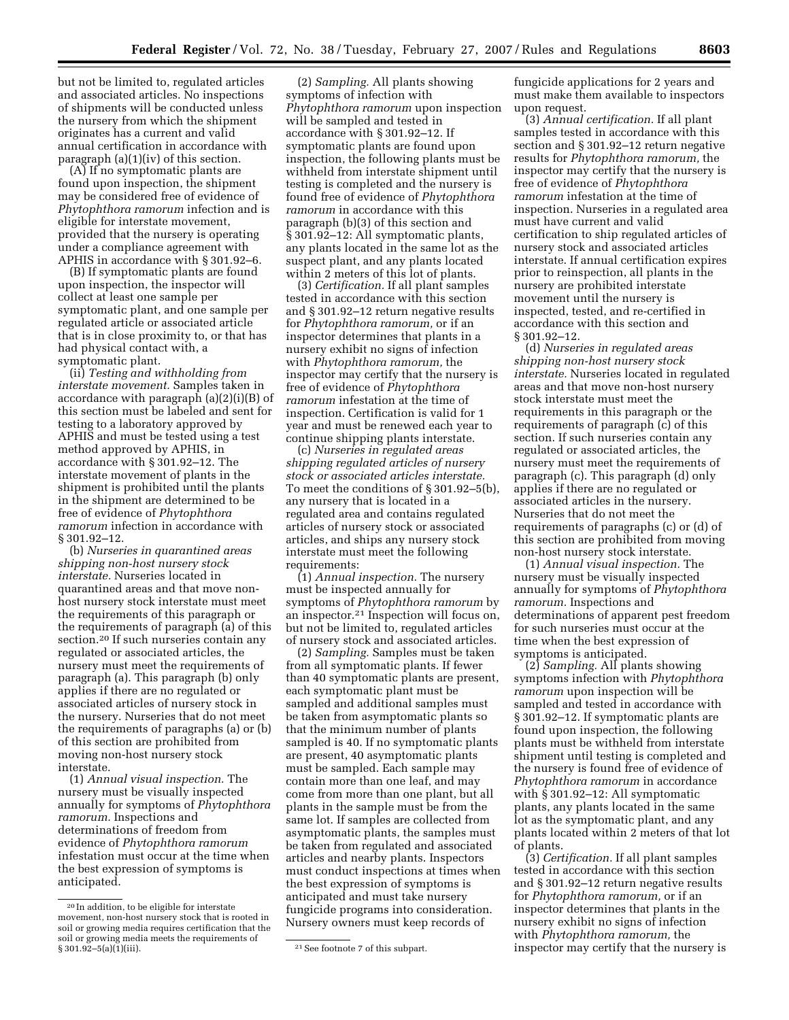but not be limited to, regulated articles and associated articles. No inspections of shipments will be conducted unless the nursery from which the shipment originates has a current and valid annual certification in accordance with paragraph (a)(1)(iv) of this section.

(A) If no symptomatic plants are found upon inspection, the shipment may be considered free of evidence of *Phytophthora ramorum* infection and is eligible for interstate movement, provided that the nursery is operating under a compliance agreement with APHIS in accordance with § 301.92–6.

(B) If symptomatic plants are found upon inspection, the inspector will collect at least one sample per symptomatic plant, and one sample per regulated article or associated article that is in close proximity to, or that has had physical contact with, a symptomatic plant.

(ii) *Testing and withholding from interstate movement.* Samples taken in accordance with paragraph (a)(2)(i)(B) of this section must be labeled and sent for testing to a laboratory approved by APHIS and must be tested using a test method approved by APHIS, in accordance with § 301.92–12. The interstate movement of plants in the shipment is prohibited until the plants in the shipment are determined to be free of evidence of *Phytophthora ramorum* infection in accordance with § 301.92–12.

(b) *Nurseries in quarantined areas shipping non-host nursery stock interstate.* Nurseries located in quarantined areas and that move nonhost nursery stock interstate must meet the requirements of this paragraph or the requirements of paragraph (a) of this section.20 If such nurseries contain any regulated or associated articles, the nursery must meet the requirements of paragraph (a). This paragraph (b) only applies if there are no regulated or associated articles of nursery stock in the nursery. Nurseries that do not meet the requirements of paragraphs (a) or (b) of this section are prohibited from moving non-host nursery stock interstate.

(1) *Annual visual inspection.* The nursery must be visually inspected annually for symptoms of *Phytophthora ramorum.* Inspections and determinations of freedom from evidence of *Phytophthora ramorum*  infestation must occur at the time when the best expression of symptoms is anticipated.

(2) *Sampling.* All plants showing symptoms of infection with *Phytophthora ramorum* upon inspection will be sampled and tested in accordance with § 301.92–12. If symptomatic plants are found upon inspection, the following plants must be withheld from interstate shipment until testing is completed and the nursery is found free of evidence of *Phytophthora ramorum* in accordance with this paragraph (b)(3) of this section and § 301.92–12: All symptomatic plants, any plants located in the same lot as the suspect plant, and any plants located within 2 meters of this lot of plants.

(3) *Certification.* If all plant samples tested in accordance with this section and § 301.92–12 return negative results for *Phytophthora ramorum,* or if an inspector determines that plants in a nursery exhibit no signs of infection with *Phytophthora ramorum,* the inspector may certify that the nursery is free of evidence of *Phytophthora ramorum* infestation at the time of inspection. Certification is valid for 1 year and must be renewed each year to continue shipping plants interstate.

(c) *Nurseries in regulated areas shipping regulated articles of nursery stock or associated articles interstate.*  To meet the conditions of § 301.92–5(b), any nursery that is located in a regulated area and contains regulated articles of nursery stock or associated articles, and ships any nursery stock interstate must meet the following requirements:

(1) *Annual inspection.* The nursery must be inspected annually for symptoms of *Phytophthora ramorum* by an inspector.21 Inspection will focus on, but not be limited to, regulated articles of nursery stock and associated articles.

(2) *Sampling.* Samples must be taken from all symptomatic plants. If fewer than 40 symptomatic plants are present, each symptomatic plant must be sampled and additional samples must be taken from asymptomatic plants so that the minimum number of plants sampled is 40. If no symptomatic plants are present, 40 asymptomatic plants must be sampled. Each sample may contain more than one leaf, and may come from more than one plant, but all plants in the sample must be from the same lot. If samples are collected from asymptomatic plants, the samples must be taken from regulated and associated articles and nearby plants. Inspectors must conduct inspections at times when the best expression of symptoms is anticipated and must take nursery fungicide programs into consideration. Nursery owners must keep records of

fungicide applications for 2 years and must make them available to inspectors upon request.

(3) *Annual certification.* If all plant samples tested in accordance with this section and § 301.92–12 return negative results for *Phytophthora ramorum,* the inspector may certify that the nursery is free of evidence of *Phytophthora ramorum* infestation at the time of inspection. Nurseries in a regulated area must have current and valid certification to ship regulated articles of nursery stock and associated articles interstate. If annual certification expires prior to reinspection, all plants in the nursery are prohibited interstate movement until the nursery is inspected, tested, and re-certified in accordance with this section and § 301.92–12.

(d) *Nurseries in regulated areas shipping non-host nursery stock interstate.* Nurseries located in regulated areas and that move non-host nursery stock interstate must meet the requirements in this paragraph or the requirements of paragraph (c) of this section. If such nurseries contain any regulated or associated articles, the nursery must meet the requirements of paragraph (c). This paragraph (d) only applies if there are no regulated or associated articles in the nursery. Nurseries that do not meet the requirements of paragraphs (c) or (d) of this section are prohibited from moving non-host nursery stock interstate.

(1) *Annual visual inspection.* The nursery must be visually inspected annually for symptoms of *Phytophthora ramorum.* Inspections and determinations of apparent pest freedom for such nurseries must occur at the time when the best expression of symptoms is anticipated.

(2) *Sampling.* All plants showing symptoms infection with *Phytophthora ramorum* upon inspection will be sampled and tested in accordance with § 301.92–12. If symptomatic plants are found upon inspection, the following plants must be withheld from interstate shipment until testing is completed and the nursery is found free of evidence of *Phytophthora ramorum* in accordance with § 301.92–12: All symptomatic plants, any plants located in the same lot as the symptomatic plant, and any plants located within 2 meters of that lot of plants.

(3) *Certification.* If all plant samples tested in accordance with this section and § 301.92–12 return negative results for *Phytophthora ramorum,* or if an inspector determines that plants in the nursery exhibit no signs of infection with *Phytophthora ramorum,* the inspector may certify that the nursery is

<sup>20</sup> In addition, to be eligible for interstate movement, non-host nursery stock that is rooted in soil or growing media requires certification that the soil or growing media meets the requirements of  $\S 301.92 - 5(a)(1)(iii)$ .

<sup>&</sup>lt;sup>21</sup> See footnote 7 of this subpart.